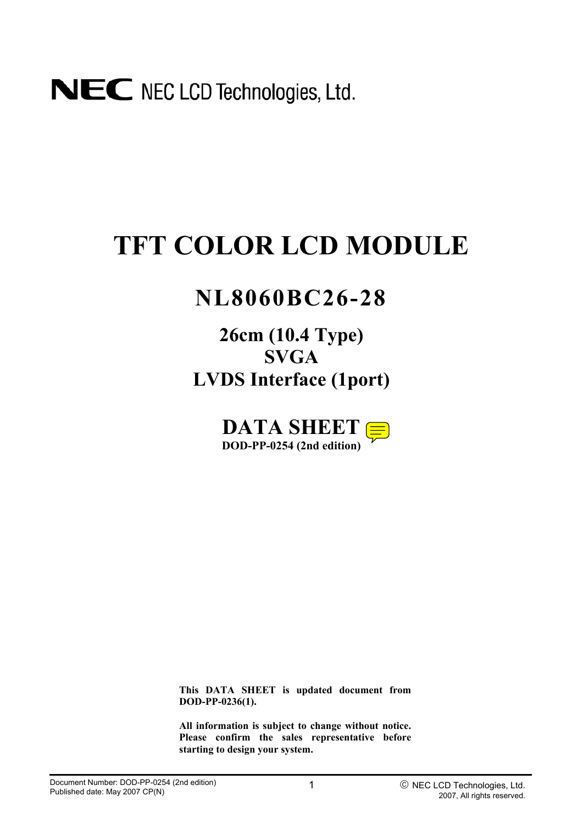# **TFT COLOR LCD MODULE**

# **NL8060BC26-28**

# **26cm (10.4 Type) SVGA LVDS Interface (1port)**



**This DATA SHEET is updated document from DOD-PP-0236(1).** 

**All information is subject to change without notice. Please confirm the sales representative before starting to design your system.**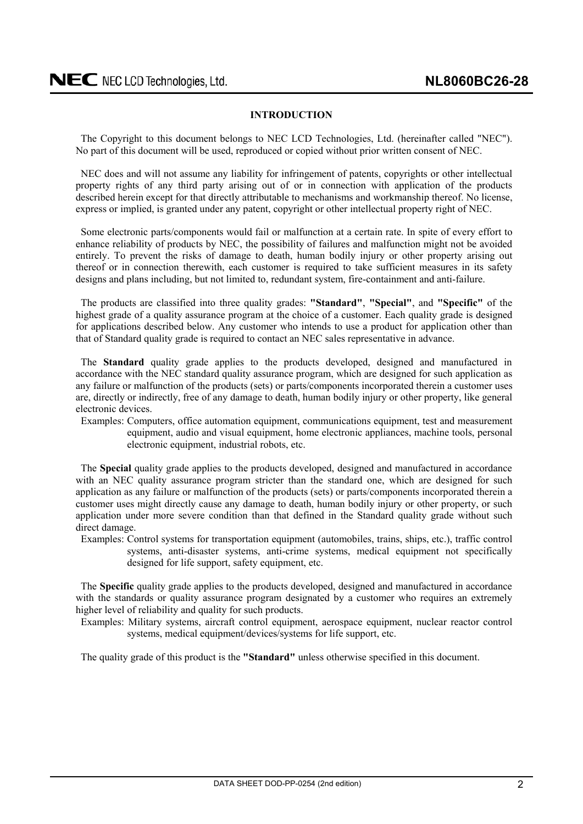# **INTRODUCTION**

<span id="page-1-0"></span>The Copyright to this document belongs to NEC LCD Technologies, Ltd. (hereinafter called "NEC"). No part of this document will be used, reproduced or copied without prior written consent of NEC.

NEC does and will not assume any liability for infringement of patents, copyrights or other intellectual property rights of any third party arising out of or in connection with application of the products described herein except for that directly attributable to mechanisms and workmanship thereof. No license, express or implied, is granted under any patent, copyright or other intellectual property right of NEC.

Some electronic parts/components would fail or malfunction at a certain rate. In spite of every effort to enhance reliability of products by NEC, the possibility of failures and malfunction might not be avoided entirely. To prevent the risks of damage to death, human bodily injury or other property arising out thereof or in connection therewith, each customer is required to take sufficient measures in its safety designs and plans including, but not limited to, redundant system, fire-containment and anti-failure.

The products are classified into three quality grades: **"Standard"**, **"Special"**, and **"Specific"** of the highest grade of a quality assurance program at the choice of a customer. Each quality grade is designed for applications described below. Any customer who intends to use a product for application other than that of Standard quality grade is required to contact an NEC sales representative in advance.

The **Standard** quality grade applies to the products developed, designed and manufactured in accordance with the NEC standard quality assurance program, which are designed for such application as any failure or malfunction of the products (sets) or parts/components incorporated therein a customer uses are, directly or indirectly, free of any damage to death, human bodily injury or other property, like general electronic devices.

Examples: Computers, office automation equipment, communications equipment, test and measurement equipment, audio and visual equipment, home electronic appliances, machine tools, personal electronic equipment, industrial robots, etc.

The **Special** quality grade applies to the products developed, designed and manufactured in accordance with an NEC quality assurance program stricter than the standard one, which are designed for such application as any failure or malfunction of the products (sets) or parts/components incorporated therein a customer uses might directly cause any damage to death, human bodily injury or other property, or such application under more severe condition than that defined in the Standard quality grade without such direct damage.

Examples: Control systems for transportation equipment (automobiles, trains, ships, etc.), traffic control systems, anti-disaster systems, anti-crime systems, medical equipment not specifically designed for life support, safety equipment, etc.

The **Specific** quality grade applies to the products developed, designed and manufactured in accordance with the standards or quality assurance program designated by a customer who requires an extremely higher level of reliability and quality for such products.

Examples: Military systems, aircraft control equipment, aerospace equipment, nuclear reactor control systems, medical equipment/devices/systems for life support, etc.

The quality grade of this product is the **"Standard"** unless otherwise specified in this document.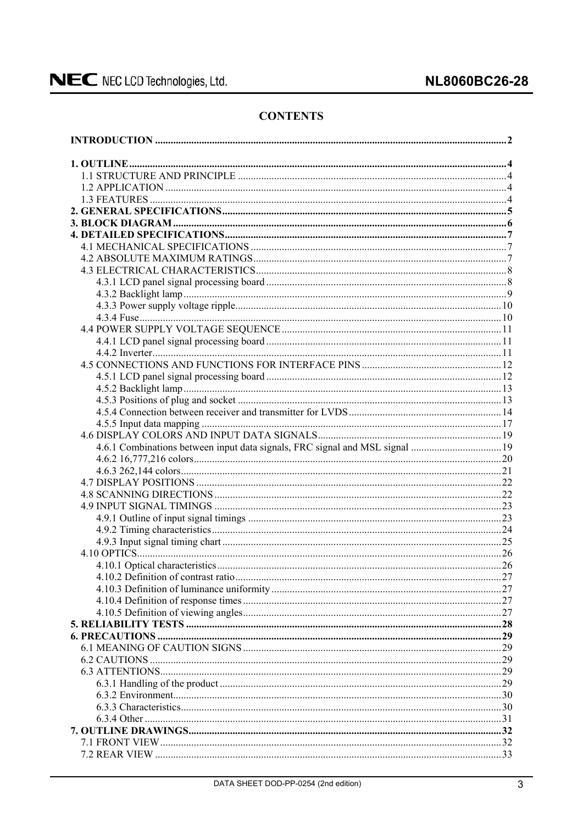# **CONTENTS**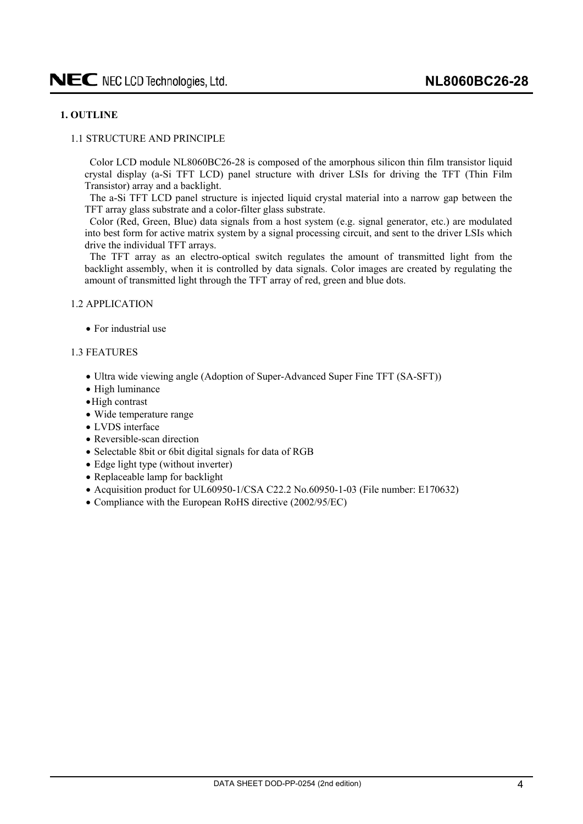# <span id="page-3-0"></span>**1. OUTLINE**

### 1.1 STRUCTURE AND PRINCIPLE

Color LCD module NL8060BC26-28 is composed of the amorphous silicon thin film transistor liquid crystal display (a-Si TFT LCD) panel structure with driver LSIs for driving the TFT (Thin Film Transistor) array and a backlight.

The a-Si TFT LCD panel structure is injected liquid crystal material into a narrow gap between the TFT array glass substrate and a color-filter glass substrate.

Color (Red, Green, Blue) data signals from a host system (e.g. signal generator, etc.) are modulated into best form for active matrix system by a signal processing circuit, and sent to the driver LSIs which drive the individual TFT arrays.

The TFT array as an electro-optical switch regulates the amount of transmitted light from the backlight assembly, when it is controlled by data signals. Color images are created by regulating the amount of transmitted light through the TFT array of red, green and blue dots.

#### 1.2 APPLICATION

 $\bullet$  For industrial use

#### 1.3 FEATURES

- Ultra wide viewing angle (Adoption of Super-Advanced Super Fine TFT (SA-SFT))
- $\bullet$  High luminance
- $\bullet$  High contrast
- $\bullet$  Wide temperature range
- LVDS interface
- $\bullet$  Reversible-scan direction
- Selectable 8bit or 6bit digital signals for data of RGB
- Edge light type (without inverter)
- $\bullet$  Replaceable lamp for backlight
- Acquisition product for UL60950-1/CSA C22.2 No.60950-1-03 (File number: E170632)
- Compliance with the European RoHS directive  $(2002/95/EC)$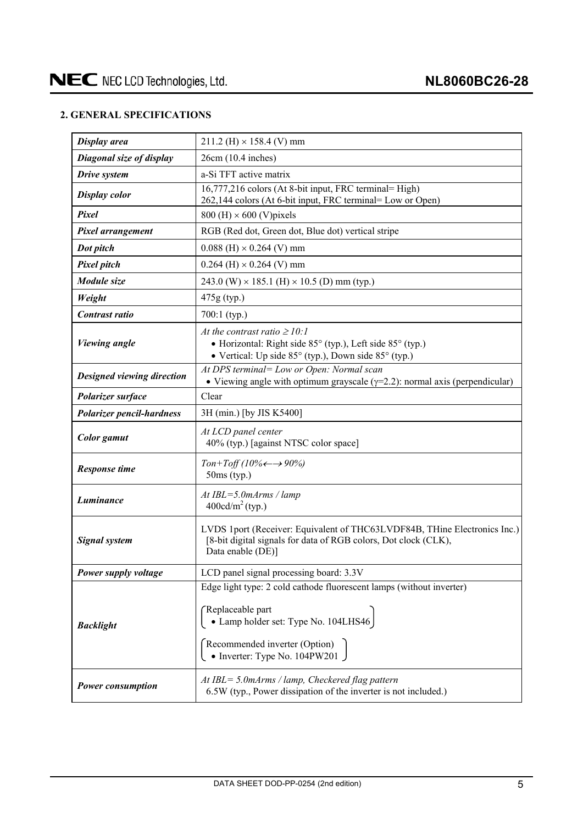# <span id="page-4-0"></span>**2. GENERAL SPECIFICATIONS**

| Display area                      | $211.2$ (H) $\times$ 158.4 (V) mm                                                                                                                                 |
|-----------------------------------|-------------------------------------------------------------------------------------------------------------------------------------------------------------------|
| Diagonal size of display          | 26cm (10.4 inches)                                                                                                                                                |
| Drive system                      | a-Si TFT active matrix                                                                                                                                            |
| <b>Display color</b>              | 16,777,216 colors (At 8-bit input, FRC terminal= High)<br>262,144 colors (At 6-bit input, FRC terminal= Low or Open)                                              |
| Pixel                             | $800$ (H) $\times$ 600 (V) pixels                                                                                                                                 |
| Pixel arrangement                 | RGB (Red dot, Green dot, Blue dot) vertical stripe                                                                                                                |
| Dot pitch                         | $0.088$ (H) $\times$ 0.264 (V) mm                                                                                                                                 |
| <b>Pixel pitch</b>                | $0.264$ (H) $\times$ 0.264 (V) mm                                                                                                                                 |
| Module size                       | 243.0 (W) $\times$ 185.1 (H) $\times$ 10.5 (D) mm (typ.)                                                                                                          |
| Weight                            | 475g (typ.)                                                                                                                                                       |
| Contrast ratio                    | $700:1$ (typ.)                                                                                                                                                    |
| <b>Viewing</b> angle              | At the contrast ratio $\geq 10$ :<br>• Horizontal: Right side 85° (typ.), Left side 85° (typ.)<br>• Vertical: Up side 85° (typ.), Down side 85° (typ.)            |
| <b>Designed viewing direction</b> | At DPS terminal= Low or Open: Normal scan<br>• Viewing angle with optimum grayscale $(\gamma=2.2)$ : normal axis (perpendicular)                                  |
| Polarizer surface                 | Clear                                                                                                                                                             |
| <b>Polarizer pencil-hardness</b>  | 3H (min.) [by JIS K5400]                                                                                                                                          |
| Color gamut                       | At LCD panel center<br>40% (typ.) [against NTSC color space]                                                                                                      |
| <b>Response time</b>              | Ton+Toff (10% $\leftarrow \rightarrow 90\%$ )<br>$50ms$ (typ.)                                                                                                    |
| Luminance                         | $At IBL = 5.0 mArms / lamp$<br>$400 \text{cd/m}^2$ (typ.)                                                                                                         |
| <b>Signal system</b>              | LVDS 1port (Receiver: Equivalent of THC63LVDF84B, THine Electronics Inc.)<br>[8-bit digital signals for data of RGB colors, Dot clock (CLK),<br>Data enable (DE)] |
| Power supply voltage              | LCD panel signal processing board: 3.3V                                                                                                                           |
|                                   | Edge light type: 2 cold cathode fluorescent lamps (without inverter)                                                                                              |
| <b>Backlight</b>                  | Replaceable part<br>· Lamp holder set: Type No. 104LHS46<br>Recommended inverter (Option)<br>• Inverter: Type No. $104$ PW $201$                                  |
| <b>Power consumption</b>          | At $IBL = 5.0$ m $Arms / lamp$ , Checkered flag pattern<br>6.5W (typ., Power dissipation of the inverter is not included.)                                        |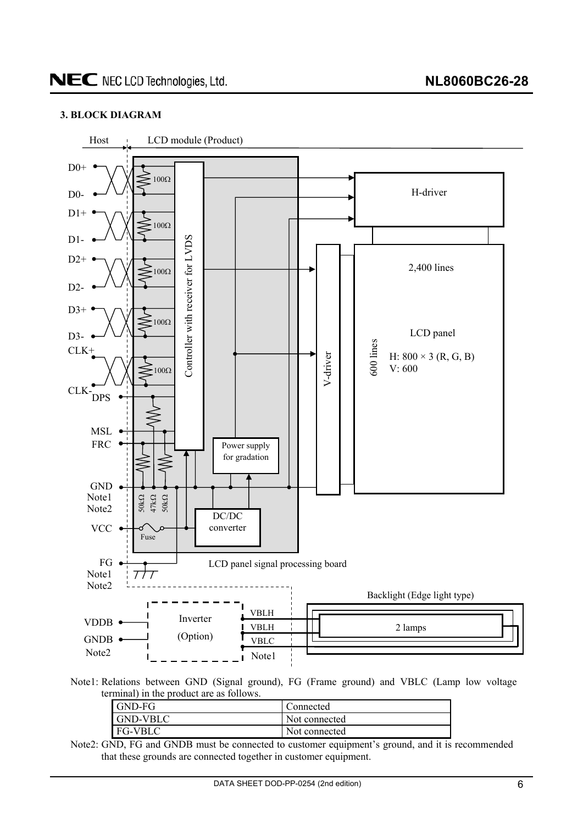# <span id="page-5-0"></span>**3. BLOCK DIAGRAM**



Note1: Relations between GND (Signal ground), FG (Frame ground) and VBLC (Lamp low voltage terminal) in the product are as follows.

| I GND-FG        | Connected     |
|-----------------|---------------|
| <b>GND-VBLC</b> | Not connected |
| <b>FG-VBLC</b>  | Not connected |

Note2: GND, FG and GNDB must be connected to customer equipment's ground, and it is recommended that these grounds are connected together in customer equipment.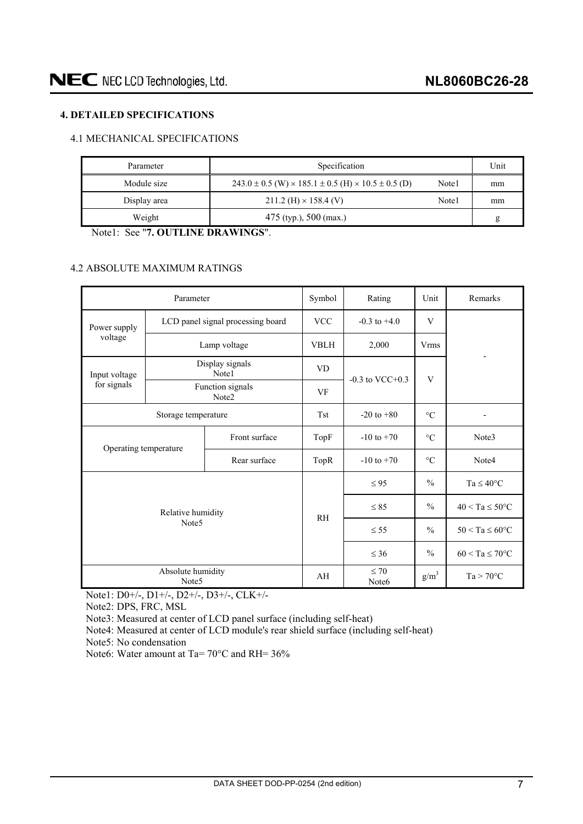# <span id="page-6-0"></span>**4. DETAILED SPECIFICATIONS**

# 4.1 MECHANICAL SPECIFICATIONS

| Parameter    | Specification                                                                |       | Unit |
|--------------|------------------------------------------------------------------------------|-------|------|
| Module size  | $243.0 \pm 0.5$ (W) $\times$ 185.1 $\pm$ 0.5 (H) $\times$ 10.5 $\pm$ 0.5 (D) | Note1 | mm   |
| Display area | $211.2$ (H) $\times$ 158.4 (V)                                               | Note1 | mm   |
| Weight       | 475 (typ.), 500 (max.)                                                       |       | g    |

Note1: See "**7. OUTLINE DRAWINGS**".

# 4.2 ABSOLUTE MAXIMUM RATINGS

|                       | Parameter                              |                                   | Symbol                         | Rating               | Unit                | Remarks                    |  |
|-----------------------|----------------------------------------|-----------------------------------|--------------------------------|----------------------|---------------------|----------------------------|--|
| Power supply          |                                        | LCD panel signal processing board | <b>VCC</b>                     | $-0.3$ to $+4.0$     | V                   |                            |  |
| voltage               |                                        | Lamp voltage                      | <b>VBLH</b>                    | 2,000                | <b>Vrms</b>         |                            |  |
| Input voltage         |                                        | Display signals<br>Note1          | <b>VD</b>                      |                      |                     |                            |  |
| for signals           |                                        | Function signals<br>Note2         | VF                             | $-0.3$ to VCC $+0.3$ | V                   |                            |  |
|                       | Storage temperature                    | <b>Tst</b>                        | $-20$ to $+80$                 | $\rm ^{\circ}C$      |                     |                            |  |
| Front surface         |                                        |                                   | TopF                           | $-10$ to $+70$       | $\rm ^{\circ}C$     | Note3                      |  |
| Operating temperature |                                        | Rear surface                      | TopR                           | $-10$ to $+70$       | $\rm ^{\circ}C$     | Note4                      |  |
|                       |                                        |                                   |                                | $\leq 95$            | $\frac{0}{0}$       | $Ta \leq 40^{\circ}C$      |  |
|                       | Relative humidity                      |                                   | <b>RH</b>                      | $\leq 85$            | $\frac{0}{0}$       | $40 < Ta \leq 50^{\circ}C$ |  |
| Note <sub>5</sub>     |                                        |                                   |                                | $\leq$ 55            | $\frac{0}{0}$       | $50 < Ta \leq 60^{\circ}C$ |  |
|                       |                                        |                                   | $\leq 36$                      | $\frac{0}{0}$        | $60 < Ta \le 70$ °C |                            |  |
|                       | Absolute humidity<br>Note <sub>5</sub> | AH                                | $\leq 70$<br>Note <sub>6</sub> | g/m <sup>3</sup>     | $Ta > 70^{\circ}C$  |                            |  |

Note1: D0+/-, D1+/-, D2+/-, D3+/-, CLK+/-

Note2: DPS, FRC, MSL

Note3: Measured at center of LCD panel surface (including self-heat)

Note4: Measured at center of LCD module's rear shield surface (including self-heat)

Note5: No condensation

Note6: Water amount at Ta= 70°C and RH= 36%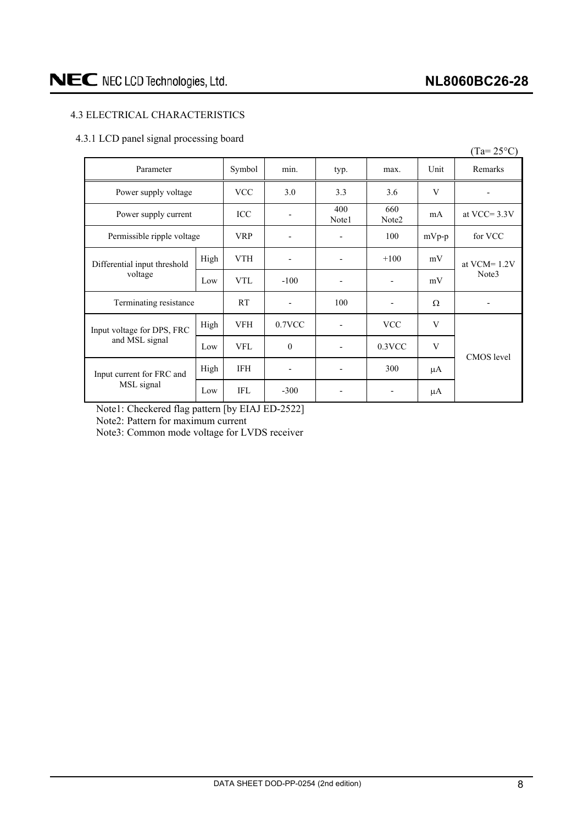# <span id="page-7-0"></span>4.3 ELECTRICAL CHARACTERISTICS

# 4.3.1 LCD panel signal processing board

|                              |      |            |           |              |                          |         | $(Ta=25^{\circ}C)$       |  |
|------------------------------|------|------------|-----------|--------------|--------------------------|---------|--------------------------|--|
| Parameter                    |      | Symbol     | min.      | typ.         | max.                     | Unit    | Remarks                  |  |
| Power supply voltage         |      | <b>VCC</b> | 3.0       | 3.3          | 3.6                      | V       |                          |  |
| Power supply current         |      | <b>ICC</b> |           | 400<br>Note1 | 660<br>Note <sub>2</sub> | mA      | at VCC= $3.3V$           |  |
| Permissible ripple voltage   |      | <b>VRP</b> |           |              | 100                      | $mVp-p$ | for VCC                  |  |
| Differential input threshold | High | <b>VTH</b> |           |              | $+100$                   | mV      | at $VCM = 1.2V$<br>Note3 |  |
| voltage                      | Low  | <b>VTL</b> | $-100$    |              | $\overline{\phantom{a}}$ | mV      |                          |  |
| Terminating resistance       |      | <b>RT</b>  |           | 100          | $\overline{\phantom{a}}$ | Ω       |                          |  |
| Input voltage for DPS, FRC   | High | <b>VFH</b> | $0.7$ VCC |              | <b>VCC</b>               | V       |                          |  |
| and MSL signal               | Low  | <b>VFL</b> | $\theta$  |              | $0.3$ VCC                | V       |                          |  |
| Input current for FRC and    | High | IFH        | ٠         |              | 300                      | μA      | CMOS level               |  |
| MSL signal                   | Low  | <b>IFL</b> | $-300$    |              |                          | μA      |                          |  |

Note1: Checkered flag pattern [by EIAJ ED-2522]

Note2: Pattern for maximum current

Note3: Common mode voltage for LVDS receiver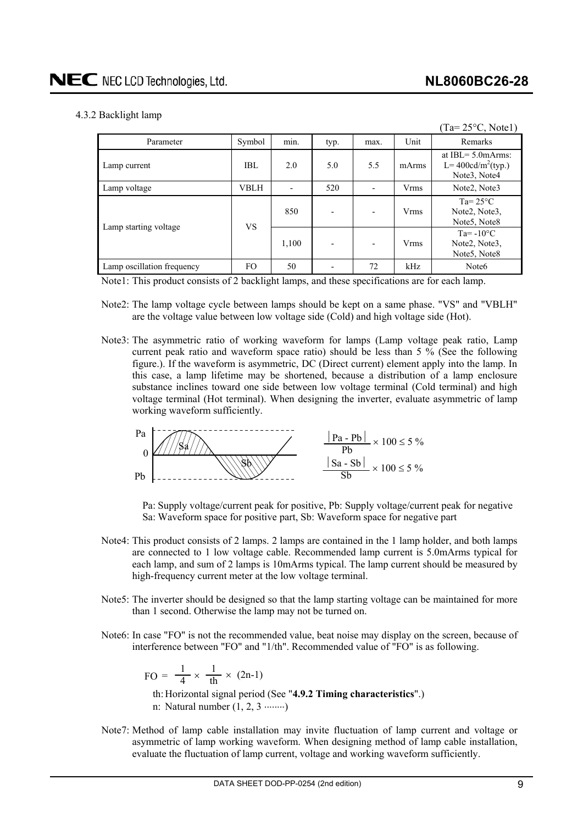$(T - 250C, M + 1)$ 

# <span id="page-8-0"></span>4.3.2 Backlight lamp

|                            |             |       |      |                          |             | $1a=23^\circ C$ , NOICI                                                          |
|----------------------------|-------------|-------|------|--------------------------|-------------|----------------------------------------------------------------------------------|
| Parameter                  | Symbol      | min.  | typ. | max.                     | Unit        | Remarks                                                                          |
| Lamp current               | IBL.        | 2.0   | 5.0  | 5.5                      | mArms       | at $IBL = 5.0$ m $Arms$ :<br>L= $400 \text{cd/m}^2(\text{typ.})$<br>Note3, Note4 |
| Lamp voltage               | <b>VBLH</b> |       | 520  | $\overline{\phantom{a}}$ | <b>Vrms</b> | Note2, Note3                                                                     |
|                            | <b>VS</b>   | 850   |      | $\blacksquare$           | <b>Vrms</b> | Ta= $25^{\circ}$ C<br>Note2, Note3,<br>Note <sub>5</sub> , Note <sub>8</sub>     |
| Lamp starting voltage      |             | 1,100 |      | $\overline{\phantom{a}}$ | <b>Vrms</b> | $Ta = -10^{\circ}C$<br>Note2, Note3,<br>Note5, Note8                             |
| Lamp oscillation frequency | FO.         | 50    |      | 72                       | kHz         | Note <sub>6</sub>                                                                |

Note1: This product consists of 2 backlight lamps, and these specifications are for each lamp.

- Note2: The lamp voltage cycle between lamps should be kept on a same phase. "VS" and "VBLH" are the voltage value between low voltage side (Cold) and high voltage side (Hot).
- Note3: The asymmetric ratio of working waveform for lamps (Lamp voltage peak ratio, Lamp current peak ratio and waveform space ratio) should be less than 5 % (See the following figure.). If the waveform is asymmetric, DC (Direct current) element apply into the lamp. In this case, a lamp lifetime may be shortened, because a distribution of a lamp enclosure substance inclines toward one side between low voltage terminal (Cold terminal) and high voltage terminal (Hot terminal). When designing the inverter, evaluate asymmetric of lamp working waveform sufficiently.



Pa: Supply voltage/current peak for positive, Pb: Supply voltage/current peak for negative Sa: Waveform space for positive part, Sb: Waveform space for negative part

- Note4: This product consists of 2 lamps. 2 lamps are contained in the 1 lamp holder, and both lamps are connected to 1 low voltage cable. Recommended lamp current is 5.0mArms typical for each lamp, and sum of 2 lamps is 10mArms typical. The lamp current should be measured by high-frequency current meter at the low voltage terminal.
- Note5: The inverter should be designed so that the lamp starting voltage can be maintained for more than 1 second. Otherwise the lamp may not be turned on.
- Note6: In case "FO" is not the recommended value, beat noise may display on the screen, because of interference between "FO" and "1/th". Recommended value of "FO" is as following.

$$
FO = \frac{1}{4} \times \frac{1}{th} \times (2n-1)
$$

th: Horizontal signal period (See "**4.9.2 Timing characteristics**".) n: Natural number  $(1, 2, 3 \dots)$ 

Note7: Method of lamp cable installation may invite fluctuation of lamp current and voltage or asymmetric of lamp working waveform. When designing method of lamp cable installation, evaluate the fluctuation of lamp current, voltage and working waveform sufficiently.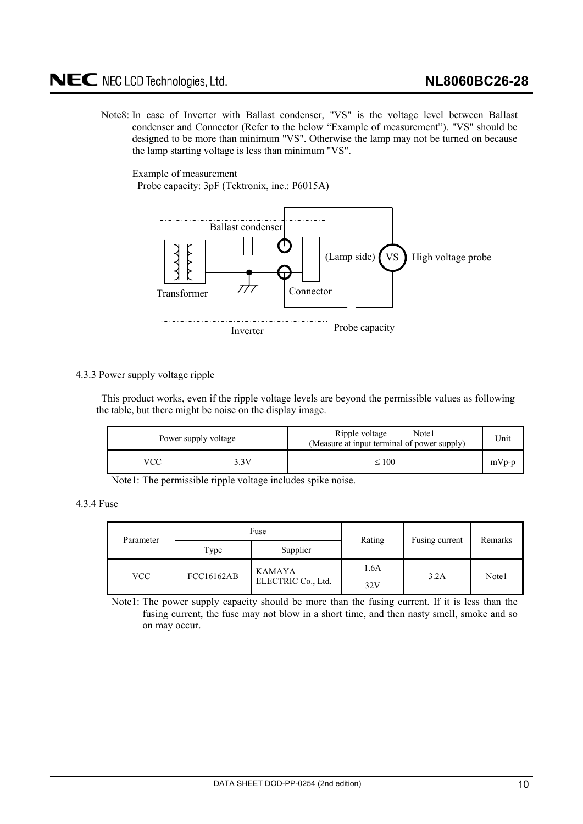<span id="page-9-0"></span>Note8: In case of Inverter with Ballast condenser, "VS" is the voltage level between Ballast condenser and Connector (Refer to the below "Example of measurement"). "VS" should be designed to be more than minimum "VS". Otherwise the lamp may not be turned on because the lamp starting voltage is less than minimum "VS".

Example of measurement

Probe capacity: 3pF (Tektronix, inc.: P6015A)



4.3.3 Power supply voltage ripple

This product works, even if the ripple voltage levels are beyond the permissible values as following the table, but there might be noise on the display image.

| Power supply voltage |  | Ripple voltage<br>Note1<br>(Measure at input terminal of power supply) | Unit    |
|----------------------|--|------------------------------------------------------------------------|---------|
| VCC<br>3.3V          |  | $\leq 100$                                                             | $mVp-p$ |

Note1: The permissible ripple voltage includes spike noise.

4.3.4 Fuse

| Parameter                       |                    | Fuse          | Rating | Fusing current | Remarks |  |
|---------------------------------|--------------------|---------------|--------|----------------|---------|--|
|                                 | Type               | Supplier      |        |                |         |  |
| <b>FCC16162AB</b><br><b>VCC</b> |                    | <b>KAMAYA</b> | 1.6A   | 3.2A           | Note1   |  |
|                                 | ELECTRIC Co., Ltd. |               | 32V    |                |         |  |

Note1: The power supply capacity should be more than the fusing current. If it is less than the fusing current, the fuse may not blow in a short time, and then nasty smell, smoke and so on may occur.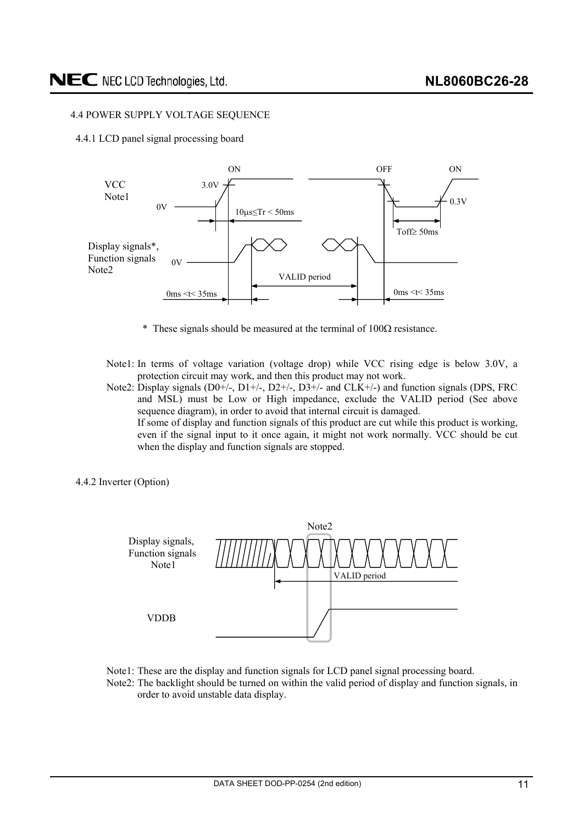### <span id="page-10-0"></span>4.4 POWER SUPPLY VOLTAGE SEQUENCE

4.4.1 LCD panel signal processing board



- $*$  These signals should be measured at the terminal of  $100\Omega$  resistance.
- Note1: In terms of voltage variation (voltage drop) while VCC rising edge is below 3.0V, a protection circuit may work, and then this product may not work.
- Note2: Display signals (D0+/-, D1+/-, D2+/-, D3+/- and CLK+/-) and function signals (DPS, FRC and MSL) must be Low or High impedance, exclude the VALID period (See above sequence diagram), in order to avoid that internal circuit is damaged. If some of display and function signals of this product are cut while this product is working, even if the signal input to it once again, it might not work normally. VCC should be cut when the display and function signals are stopped.
- 4.4.2 Inverter (Option)



- Note1: These are the display and function signals for LCD panel signal processing board.
- Note2: The backlight should be turned on within the valid period of display and function signals, in order to avoid unstable data display.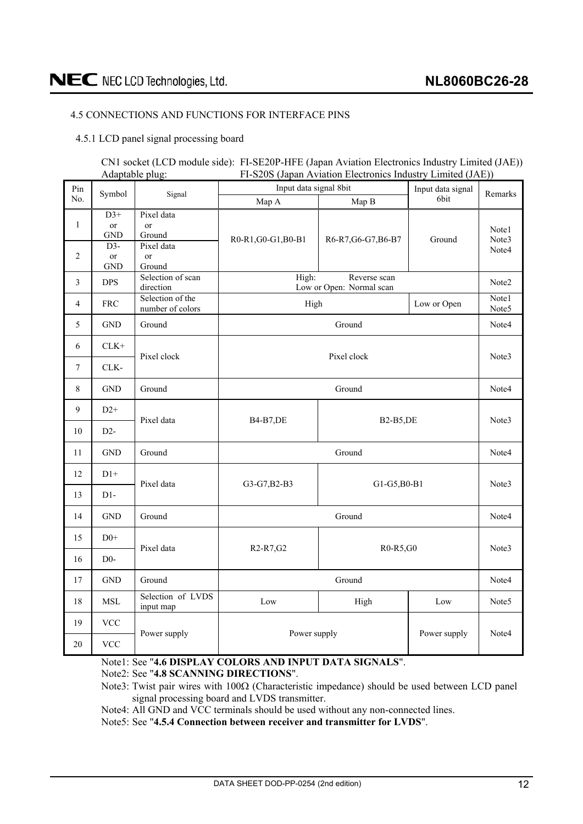# <span id="page-11-0"></span>4.5 CONNECTIONS AND FUNCTIONS FOR INTERFACE PINS

4.5.1 LCD panel signal processing board

### CN1 socket (LCD module side): FI-SE20P-HFE (Japan Aviation Electronics Industry Limited (JAE)) Adaptable plug: FI-S20S (Japan Aviation Electronics Industry Limited (JAE))

| Pin                            | Symbol                                                            | Signal                                                              | Input data signal 8bit                                      | Input data signal                        | Remarks     |                         |  |
|--------------------------------|-------------------------------------------------------------------|---------------------------------------------------------------------|-------------------------------------------------------------|------------------------------------------|-------------|-------------------------|--|
| No.                            |                                                                   |                                                                     | Map A                                                       | Map B                                    | 6bit        |                         |  |
| $\mathbf{1}$<br>$\overline{2}$ | $D3+$<br><sub>or</sub><br><b>GND</b><br>$D3-$<br>or<br><b>GND</b> | Pixel data<br>or<br>Ground<br>Pixel data<br><sub>or</sub><br>Ground | R0-R1, G0-G1, B0-B1                                         | R6-R7, G6-G7, B6-B7                      | Ground      | Note1<br>Note3<br>Note4 |  |
| 3                              | <b>DPS</b>                                                        | Selection of scan<br>direction                                      | High:                                                       | Reverse scan<br>Low or Open: Normal scan |             | Note2                   |  |
| 4                              | <b>FRC</b>                                                        | Selection of the<br>number of colors                                | High                                                        |                                          | Low or Open | Note1<br>Note5          |  |
| 5                              | <b>GND</b>                                                        | Ground                                                              |                                                             | Ground                                   |             | Note4                   |  |
| 6                              | ${\rm CLK+}$                                                      | Pixel clock                                                         | Pixel clock                                                 |                                          |             |                         |  |
| $7\phantom{.0}$                | CLK-                                                              |                                                                     |                                                             |                                          |             |                         |  |
| $8\,$                          | <b>GND</b>                                                        | Ground                                                              | Ground                                                      |                                          |             |                         |  |
| 9                              | $D2+$                                                             | Pixel data                                                          | <b>B4-B7,DE</b><br><b>B2-B5,DE</b>                          |                                          |             | Note3                   |  |
| 10                             | $D2-$                                                             |                                                                     |                                                             |                                          |             |                         |  |
| 11                             | <b>GND</b>                                                        | Ground                                                              |                                                             | Ground                                   |             | Note4                   |  |
| 12                             | $D1+$                                                             | Pixel data                                                          | G3-G7, B2-B3                                                | G1-G5, B0-B1                             |             | Note3                   |  |
| 13                             | $D1-$                                                             |                                                                     |                                                             |                                          |             |                         |  |
| 14                             | <b>GND</b>                                                        | Ground                                                              |                                                             | Ground                                   |             | Note4                   |  |
| 15                             | $\rm D0^+$                                                        | Pixel data                                                          |                                                             |                                          |             | Note3                   |  |
| 16                             | $D0-$                                                             |                                                                     | R <sub>2</sub> -R <sub>7</sub> , G <sub>2</sub><br>R0-R5,G0 |                                          |             |                         |  |
| 17                             | <b>GND</b>                                                        | Ground                                                              |                                                             | Ground                                   |             | Note4                   |  |
| 18                             | <b>MSL</b>                                                        | Selection of LVDS<br>input map                                      | Low<br>High<br>Low                                          |                                          |             | Note <sub>5</sub>       |  |
| 19                             | <b>VCC</b>                                                        | Power supply                                                        | Power supply<br>Power supply                                |                                          |             | Note4                   |  |
| 20                             | <b>VCC</b>                                                        |                                                                     |                                                             |                                          |             |                         |  |

# Note1: See "**4.6 DISPLAY COLORS AND INPUT DATA SIGNALS**".

Note2: See "**4.8 SCANNING DIRECTIONS**".

Note3: Twist pair wires with  $100\Omega$  (Characteristic impedance) should be used between LCD panel signal processing board and LVDS transmitter.

Note4: All GND and VCC terminals should be used without any non-connected lines.

Note5: See "**4.5.4 Connection between receiver and transmitter for LVDS**".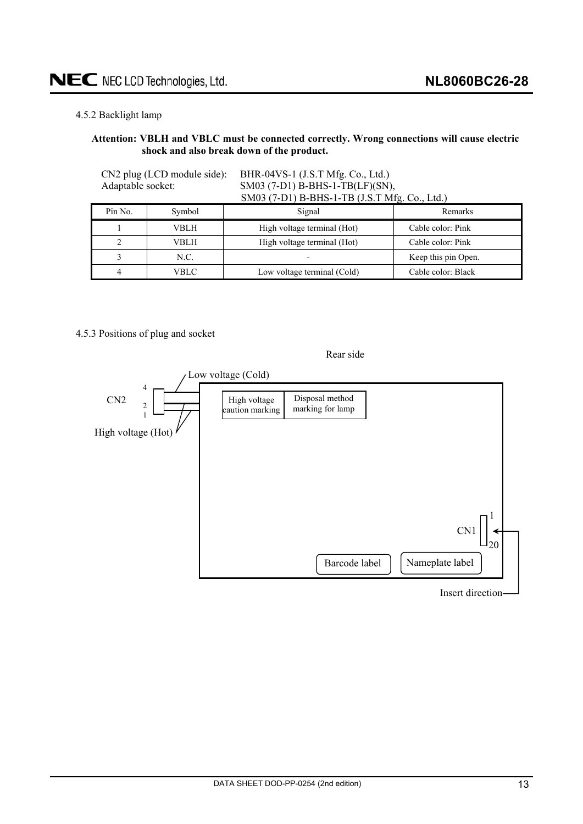## <span id="page-12-0"></span>4.5.2 Backlight lamp

#### **Attention: VBLH and VBLC must be connected correctly. Wrong connections will cause electric shock and also break down of the product.**

CN2 plug (LCD module side): BHR-04VS-1 (J.S.T Mfg. Co., Ltd.) Adaptable socket: SM03 (7-D1) B-BHS-1-TB(LF)(SN), SM03 (7-D1) B-BHS-1-TB (J.S.T Mfg. Co., Ltd.)

| Pin No. | Symbol | Signal                      | Remarks             |
|---------|--------|-----------------------------|---------------------|
|         | VBLH   | High voltage terminal (Hot) | Cable color: Pink   |
|         | VBLH.  | High voltage terminal (Hot) | Cable color: Pink   |
|         | N.C.   |                             | Keep this pin Open. |
|         | VBLC   | Low voltage terminal (Cold) | Cable color: Black  |

## 4.5.3 Positions of plug and socket

# Rear side



Insert direction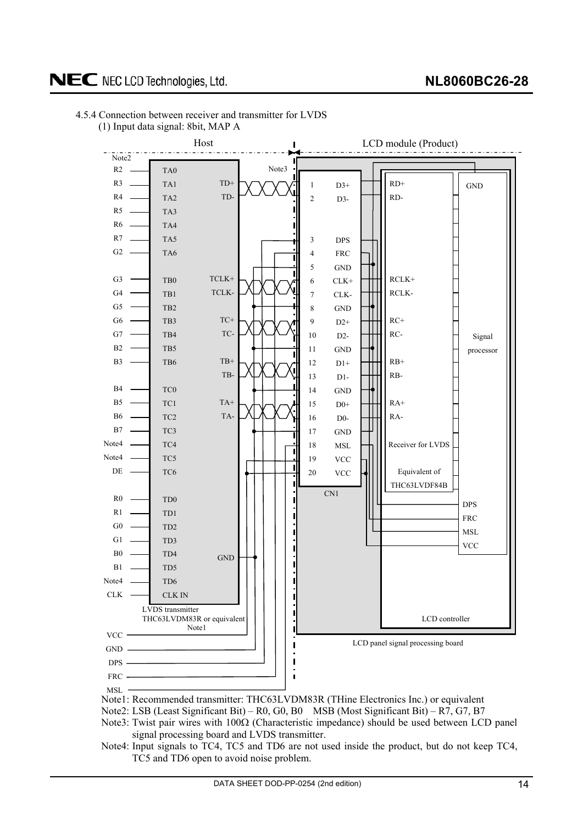

# <span id="page-13-0"></span>4.5.4 Connection between receiver and transmitter for LVDS (1) Input data signal: 8bit, MAP A

Note1: Recommended transmitter: THC63LVDM83R (THine Electronics Inc.) or equivalent

Note2: LSB (Least Significant Bit) – R0, G0, B0 MSB (Most Significant Bit) – R7, G7, B7

Note3: Twist pair wires with  $100\Omega$  (Characteristic impedance) should be used between LCD panel signal processing board and LVDS transmitter.

Note4: Input signals to TC4, TC5 and TD6 are not used inside the product, but do not keep TC4, TC5 and TD6 open to avoid noise problem.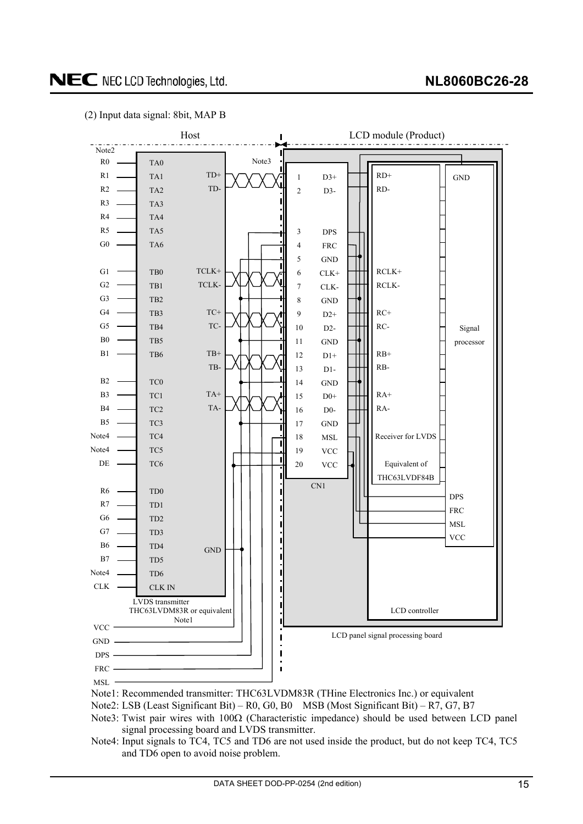# **NL8060BC26-28**

# NEC NEC LCD Technologies, Ltd.





Note2: LSB (Least Significant Bit) – R0, G0, B0 MSB (Most Significant Bit) – R7, G7, B7

- Note3: Twist pair wires with  $100\Omega$  (Characteristic impedance) should be used between LCD panel signal processing board and LVDS transmitter.
- Note4: Input signals to TC4, TC5 and TD6 are not used inside the product, but do not keep TC4, TC5 and TD6 open to avoid noise problem.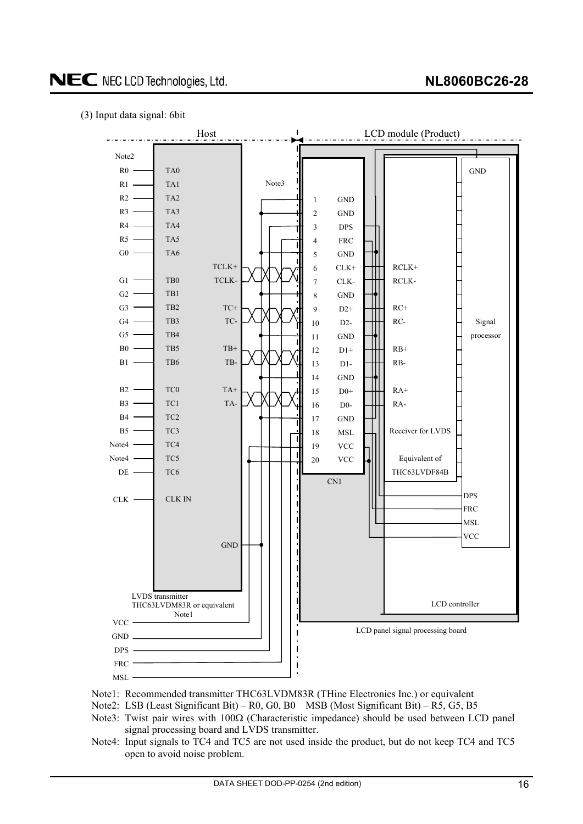## (3) Input data signal: 6bit



- Note1: Recommended transmitter THC63LVDM83R (THine Electronics Inc.) or equivalent
- Note2: LSB (Least Significant Bit) R0, G0, B0 MSB (Most Significant Bit) R5, G5, B5
- Note3: Twist pair wires with  $100\Omega$  (Characteristic impedance) should be used between LCD panel signal processing board and LVDS transmitter.
- Note4: Input signals to TC4 and TC5 are not used inside the product, but do not keep TC4 and TC5 open to avoid noise problem.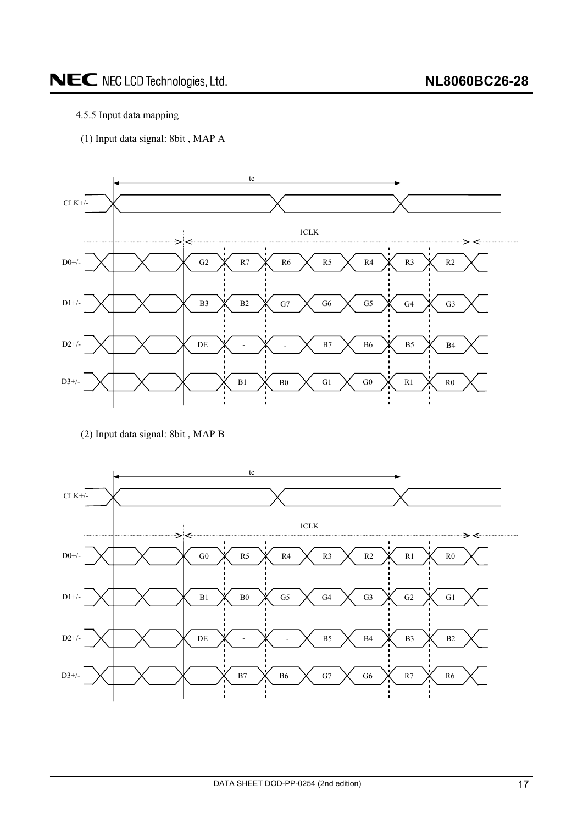# <span id="page-16-0"></span>4.5.5 Input data mapping

(1) Input data signal: 8bit , MAP A



(2) Input data signal: 8bit , MAP B

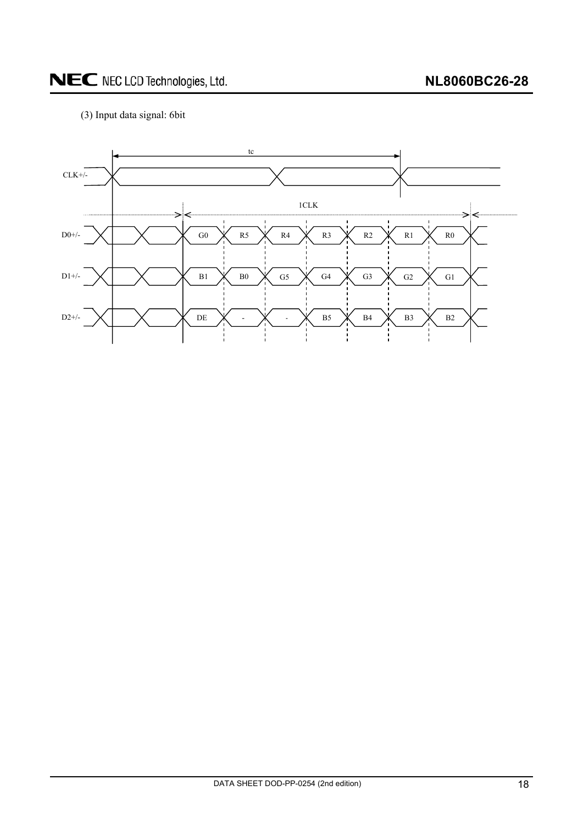# **NL8060BC26-28**

# NEC NEC LCD Technologies, Ltd.

# (3) Input data signal: 6bit

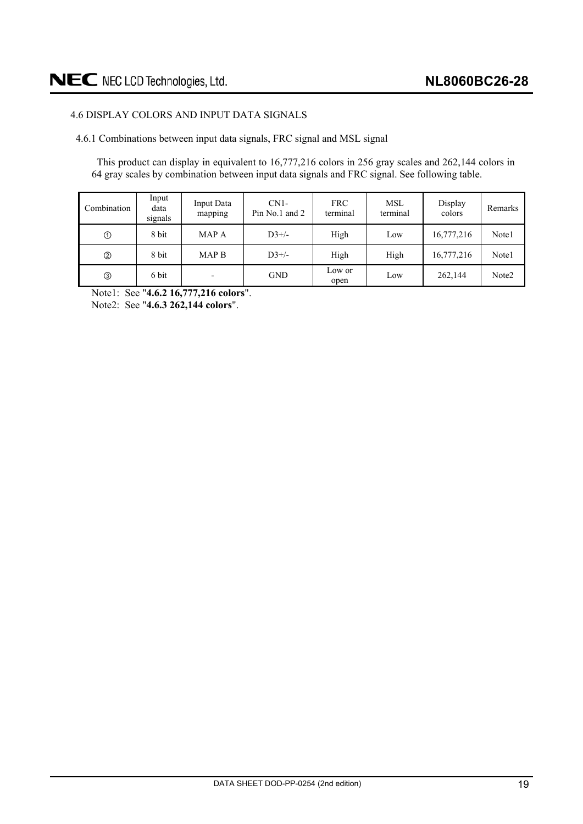# <span id="page-18-0"></span>4.6 DISPLAY COLORS AND INPUT DATA SIGNALS

4.6.1 Combinations between input data signals, FRC signal and MSL signal

This product can display in equivalent to 16,777,216 colors in 256 gray scales and 262,144 colors in 64 gray scales by combination between input data signals and FRC signal. See following table.

| Combination   | Input<br>data<br>signals | Input Data<br>mapping    | $CN1-$<br>Pin No.1 and 2 | <b>FRC</b><br>terminal | <b>MSL</b><br>terminal | Display<br>colors | Remarks           |
|---------------|--------------------------|--------------------------|--------------------------|------------------------|------------------------|-------------------|-------------------|
| $^\copyright$ | 8 bit                    | MAP A                    | $D3+/-$                  | High                   | Low                    | 16,777,216        | Note1             |
| ➁             | 8 bit                    | MAP <sub>B</sub>         | $D3+/-$                  | High                   | High                   | 16,777,216        | Note1             |
|               | 6 bit                    | $\overline{\phantom{0}}$ | <b>GND</b>               | Low or<br>open         | Low                    | 262,144           | Note <sub>2</sub> |

Note1: See "**4.6.2 16,777,216 colors**".

Note2: See "**4.6.3 262,144 colors**".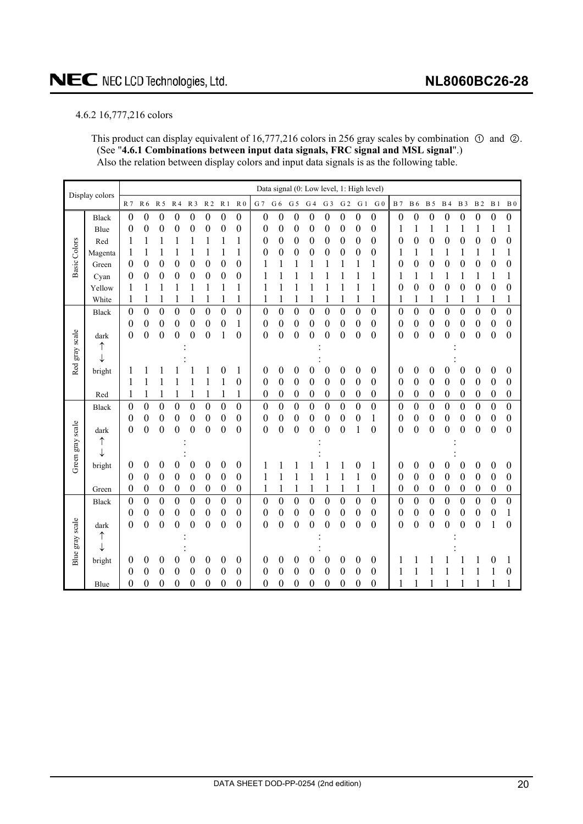# <span id="page-19-0"></span>4.6.2 16,777,216 colors

This product can display equivalent of 16,777,216 colors in 256 gray scales by combination  $\odot$  and  $\odot$ . (See "**4.6.1 Combinations between input data signals, FRC signal and MSL signal**".) Also the relation between display colors and input data signals is as the following table.

|                  | Display colors | Data signal (0: Low level, 1: High level) |                  |                  |                  |                  |                  |                  |                  |                  |                  |                  |                  |                  |                  |                  |                  |                |                  |                  |                  |                  |                  |                  |                  |
|------------------|----------------|-------------------------------------------|------------------|------------------|------------------|------------------|------------------|------------------|------------------|------------------|------------------|------------------|------------------|------------------|------------------|------------------|------------------|----------------|------------------|------------------|------------------|------------------|------------------|------------------|------------------|
|                  |                | R <sub>7</sub>                            | R 6              | R 5              | R <sub>4</sub>   | R <sub>3</sub>   | R <sub>2</sub>   | R <sub>1</sub>   | R <sub>0</sub>   | G 7              | ${\rm G}$ 6      | G <sub>5</sub>   | G <sub>4</sub>   | G <sub>3</sub>   | G <sub>2</sub>   | G <sub>1</sub>   | G <sub>0</sub>   | <b>B</b> 7     | <b>B</b> 6       | <b>B</b> 5       | <b>B4</b>        | <b>B</b> 3       | <b>B2</b>        | B <sub>1</sub>   | B <sub>0</sub>   |
|                  | <b>Black</b>   | $\boldsymbol{0}$                          | $\boldsymbol{0}$ | $\boldsymbol{0}$ | $\boldsymbol{0}$ | $\boldsymbol{0}$ | $\boldsymbol{0}$ | $\boldsymbol{0}$ | $\boldsymbol{0}$ | $\boldsymbol{0}$ | $\boldsymbol{0}$ | $\boldsymbol{0}$ | $\boldsymbol{0}$ | $\boldsymbol{0}$ | $\boldsymbol{0}$ | $\boldsymbol{0}$ | $\boldsymbol{0}$ | 0              | 0                | $\boldsymbol{0}$ | $\boldsymbol{0}$ | $\boldsymbol{0}$ | $\boldsymbol{0}$ | $\boldsymbol{0}$ | $\boldsymbol{0}$ |
|                  | Blue           | 0                                         | $\boldsymbol{0}$ | 0                | 0                | 0                | 0                | 0                | $\boldsymbol{0}$ | 0                | 0                | 0                | $\boldsymbol{0}$ | 0                | 0                | 0                | 0                | 1              |                  | 1                | 1                | 1                | 1                | 1                | 1                |
|                  | Red            | 1                                         |                  |                  | 1                | 1                | 1                | 1                | 1                | 0                | 0                | $\boldsymbol{0}$ | $\boldsymbol{0}$ | $\boldsymbol{0}$ | 0                | $\boldsymbol{0}$ | 0                | 0              | 0                | 0                | 0                | $\boldsymbol{0}$ | $\boldsymbol{0}$ | $\boldsymbol{0}$ | 0                |
| Basic Colors     | Magenta        |                                           |                  | 1                |                  | 1                | 1                | 1                | 1                | 0                | $\boldsymbol{0}$ | 0                | $\boldsymbol{0}$ | $\boldsymbol{0}$ | $\boldsymbol{0}$ | $\boldsymbol{0}$ | $\boldsymbol{0}$ | 1              |                  | 1                |                  |                  |                  | 1                | 1                |
|                  | Green          | 0                                         | 0                | 0                | 0                | $\boldsymbol{0}$ | $\boldsymbol{0}$ | $\boldsymbol{0}$ | $\boldsymbol{0}$ |                  |                  | 1                | 1                | 1                |                  |                  | 1                | 0              | 0                | 0                | 0                | 0                | $\boldsymbol{0}$ | $\boldsymbol{0}$ | $\boldsymbol{0}$ |
|                  | Cyan           | 0                                         | 0                | 0                | 0                | 0                | 0                | 0                | 0                |                  | 1                | 1                |                  | 1                |                  | 1                | 1                | 1              | 1                | 1                | 1                | 1                | 1                | $\mathbf{1}$     | 1                |
|                  | Yellow         |                                           |                  | 1                | 1                | 1                | 1                | 1                | 1                | 1                | 1                | 1                | 1                | 1                | 1                | 1                | 1                | 0              | 0                | $\boldsymbol{0}$ | 0                | 0                | $\boldsymbol{0}$ | $\boldsymbol{0}$ | 0                |
|                  | White          | 1                                         | 1                |                  |                  |                  |                  |                  | 1                | 1                |                  |                  | 1                | 1                |                  | $\mathbf{1}$     | 1                | 1              | 1                |                  | 1                | 1                |                  | 1                | 1                |
|                  | <b>Black</b>   | $\overline{0}$                            | $\overline{0}$   | $\overline{0}$   | $\overline{0}$   | $\mathbf{0}$     | $\mathbf{0}$     | $\overline{0}$   | $\overline{0}$   | $\overline{0}$   | $\overline{0}$   | $\overline{0}$   | $\overline{0}$   | $\overline{0}$   | $\overline{0}$   | $\overline{0}$   | $\overline{0}$   | $\overline{0}$ | $\overline{0}$   | $\boldsymbol{0}$ | $\overline{0}$   | $\overline{0}$   | $\boldsymbol{0}$ | $\overline{0}$   | $\boldsymbol{0}$ |
|                  |                | $\boldsymbol{0}$                          | $\boldsymbol{0}$ | $\boldsymbol{0}$ | $\boldsymbol{0}$ | $\boldsymbol{0}$ | $\boldsymbol{0}$ | $\boldsymbol{0}$ | $\mathbf{1}$     | $\boldsymbol{0}$ | $\boldsymbol{0}$ | $\boldsymbol{0}$ | $\boldsymbol{0}$ | $\boldsymbol{0}$ | $\boldsymbol{0}$ | $\boldsymbol{0}$ | $\boldsymbol{0}$ | 0              | $\boldsymbol{0}$ | $\boldsymbol{0}$ | $\boldsymbol{0}$ | $\boldsymbol{0}$ | $\boldsymbol{0}$ | $\boldsymbol{0}$ | $\boldsymbol{0}$ |
|                  | dark           | $\overline{0}$                            | $\overline{0}$   | $\overline{0}$   | $\boldsymbol{0}$ | $\boldsymbol{0}$ | $\boldsymbol{0}$ | 1                | $\boldsymbol{0}$ | $\boldsymbol{0}$ | $\boldsymbol{0}$ | $\boldsymbol{0}$ | $\boldsymbol{0}$ | $\overline{0}$   | $\boldsymbol{0}$ | $\boldsymbol{0}$ | $\boldsymbol{0}$ | 0              | $\overline{0}$   | $\boldsymbol{0}$ | $\boldsymbol{0}$ | $\boldsymbol{0}$ | $\boldsymbol{0}$ | $\boldsymbol{0}$ | $\boldsymbol{0}$ |
|                  | ↑              |                                           |                  |                  |                  |                  |                  |                  |                  |                  |                  |                  |                  |                  |                  |                  |                  |                |                  |                  |                  |                  |                  |                  |                  |
| Red gray scale   | ↓              |                                           |                  |                  |                  |                  |                  |                  |                  |                  |                  |                  |                  |                  |                  |                  |                  |                |                  |                  |                  |                  |                  |                  |                  |
|                  | bright         |                                           |                  |                  |                  |                  |                  | 0                | 1                | 0                | $\boldsymbol{0}$ | $\boldsymbol{0}$ | $\boldsymbol{0}$ | $\boldsymbol{0}$ | $\boldsymbol{0}$ | $\boldsymbol{0}$ | $\boldsymbol{0}$ | 0              | 0                | $\boldsymbol{0}$ | 0                | $\boldsymbol{0}$ | $\boldsymbol{0}$ | 0                | $\boldsymbol{0}$ |
|                  |                | 1                                         | 1                |                  |                  | 1                | 1                | 1                | $\boldsymbol{0}$ | 0                | $\boldsymbol{0}$ | $\boldsymbol{0}$ | $\boldsymbol{0}$ | $\boldsymbol{0}$ | 0                | $\boldsymbol{0}$ | 0                | 0              | 0                | $\boldsymbol{0}$ | 0                | 0                | $\boldsymbol{0}$ | $\boldsymbol{0}$ | $\boldsymbol{0}$ |
|                  | Red            |                                           | 1                |                  | 1                |                  | 1                | 1                |                  | 0                | $\boldsymbol{0}$ | $\boldsymbol{0}$ | $\boldsymbol{0}$ | $\boldsymbol{0}$ | 0                | 0                | $\boldsymbol{0}$ | 0              | 0                | 0                | $\boldsymbol{0}$ | $\boldsymbol{0}$ | $\boldsymbol{0}$ | $\boldsymbol{0}$ | $\boldsymbol{0}$ |
|                  | <b>Black</b>   | 0                                         | $\boldsymbol{0}$ | $\boldsymbol{0}$ | $\overline{0}$   | $\boldsymbol{0}$ | $\boldsymbol{0}$ | $\boldsymbol{0}$ | $\boldsymbol{0}$ | $\boldsymbol{0}$ | $\boldsymbol{0}$ | $\boldsymbol{0}$ | $\boldsymbol{0}$ | $\boldsymbol{0}$ | $\pmb{0}$        | $\boldsymbol{0}$ | $\boldsymbol{0}$ | 0              | 0                | $\boldsymbol{0}$ | $\boldsymbol{0}$ | $\overline{0}$   | $\boldsymbol{0}$ | $\boldsymbol{0}$ | $\boldsymbol{0}$ |
|                  |                | 0                                         | 0                | 0                | 0                | $\boldsymbol{0}$ | $\boldsymbol{0}$ | $\boldsymbol{0}$ | $\boldsymbol{0}$ | 0                | $\overline{0}$   | $\boldsymbol{0}$ | $\overline{0}$   | $\overline{0}$   | 0                | $\overline{0}$   | 1                | 0              | 0                | $\boldsymbol{0}$ | 0                | 0                | $\boldsymbol{0}$ | $\boldsymbol{0}$ | $\boldsymbol{0}$ |
|                  | dark           | 0                                         | $\boldsymbol{0}$ | $\boldsymbol{0}$ | 0                | 0                | 0                | 0                | $\theta$         | 0                | $\pmb{0}$        | 0                | 0                | 0                | 0                | 1                | 0                | 0              | 0                | 0                | 0                | 0                | 0                | $\boldsymbol{0}$ | $\boldsymbol{0}$ |
|                  | ↑              |                                           |                  |                  |                  |                  |                  |                  |                  |                  |                  |                  |                  |                  |                  |                  |                  |                |                  |                  |                  |                  |                  |                  |                  |
| Green gray scale | ↓              |                                           |                  |                  |                  |                  |                  |                  |                  |                  |                  |                  |                  |                  |                  |                  |                  |                |                  |                  |                  |                  |                  |                  |                  |
|                  | bright         | 0                                         | $\boldsymbol{0}$ | $\boldsymbol{0}$ | 0                | $\boldsymbol{0}$ | $\boldsymbol{0}$ | 0                | $\boldsymbol{0}$ |                  |                  |                  |                  |                  |                  | 0                | 1                | 0              | 0                | 0                | 0                | 0                | 0                | 0                | $\boldsymbol{0}$ |
|                  |                | 0                                         | $\boldsymbol{0}$ | $\boldsymbol{0}$ | $\boldsymbol{0}$ | $\boldsymbol{0}$ | $\boldsymbol{0}$ | $\boldsymbol{0}$ | $\boldsymbol{0}$ | 1                | 1                | 1                | 1                | 1                | 1                | 1                | $\boldsymbol{0}$ | 0              | 0                | $\boldsymbol{0}$ | $\boldsymbol{0}$ | $\boldsymbol{0}$ | $\boldsymbol{0}$ | $\boldsymbol{0}$ | $\boldsymbol{0}$ |
|                  | Green          | 0                                         | $\boldsymbol{0}$ | $\boldsymbol{0}$ | $\boldsymbol{0}$ | $\boldsymbol{0}$ | $\boldsymbol{0}$ | $\boldsymbol{0}$ | $\boldsymbol{0}$ | 1                | 1                | 1                | $\mathbf{1}$     | $\mathbf{1}$     | 1                | $\mathbf{1}$     | $\mathbf{1}$     | 0              | 0                | $\boldsymbol{0}$ | $\boldsymbol{0}$ | $\boldsymbol{0}$ | $\boldsymbol{0}$ | $\boldsymbol{0}$ | $\boldsymbol{0}$ |
|                  | <b>Black</b>   | $\boldsymbol{0}$                          | $\boldsymbol{0}$ | $\boldsymbol{0}$ | $\overline{0}$   | $\boldsymbol{0}$ | $\boldsymbol{0}$ | $\boldsymbol{0}$ | $\boldsymbol{0}$ | $\boldsymbol{0}$ | $\boldsymbol{0}$ | $\boldsymbol{0}$ | $\boldsymbol{0}$ | $\boldsymbol{0}$ | $\boldsymbol{0}$ | $\boldsymbol{0}$ | $\boldsymbol{0}$ | $\overline{0}$ | $\boldsymbol{0}$ | $\boldsymbol{0}$ | $\boldsymbol{0}$ | $\boldsymbol{0}$ | $\boldsymbol{0}$ | $\boldsymbol{0}$ | $\boldsymbol{0}$ |
|                  |                | 0                                         | $\boldsymbol{0}$ | $\boldsymbol{0}$ | 0                | $\boldsymbol{0}$ | $\boldsymbol{0}$ | $\boldsymbol{0}$ | $\boldsymbol{0}$ | 0                | $\boldsymbol{0}$ | $\boldsymbol{0}$ | $\boldsymbol{0}$ | $\boldsymbol{0}$ | $\boldsymbol{0}$ | $\boldsymbol{0}$ | $\boldsymbol{0}$ | 0              | 0                | $\boldsymbol{0}$ | $\boldsymbol{0}$ | $\boldsymbol{0}$ | $\boldsymbol{0}$ | $\boldsymbol{0}$ | $\mathbf{1}$     |
|                  | dark           | $\boldsymbol{0}$                          | $\boldsymbol{0}$ | $\boldsymbol{0}$ | $\boldsymbol{0}$ | $\boldsymbol{0}$ | 0                | $\boldsymbol{0}$ | $\boldsymbol{0}$ | $\boldsymbol{0}$ | $\boldsymbol{0}$ | $\boldsymbol{0}$ | $\overline{0}$   | $\boldsymbol{0}$ | 0                | $\boldsymbol{0}$ | $\overline{0}$   | 0              | 0                | 0                | $\boldsymbol{0}$ | $\boldsymbol{0}$ | $\boldsymbol{0}$ | 1                | $\boldsymbol{0}$ |
| Blue gray scale  | ↑              |                                           |                  |                  |                  |                  |                  |                  |                  |                  |                  |                  |                  |                  |                  |                  |                  |                |                  |                  |                  |                  |                  |                  |                  |
|                  | ↓              |                                           |                  |                  |                  |                  |                  |                  |                  |                  |                  |                  |                  |                  |                  |                  |                  |                |                  |                  |                  |                  |                  |                  |                  |
|                  | bright         | 0                                         | 0                | 0                | 0                | $\theta$         | $\theta$         | 0                | 0                | 0                | 0                | 0                | 0                | 0                | 0                | 0                | $\theta$         | 1              |                  |                  |                  |                  |                  | 0                |                  |
|                  |                | 0                                         | 0                | 0                | 0                | $\theta$         | 0                | 0                | 0                | 0                | $\overline{0}$   | 0                | $\theta$         | 0                | 0                | $\overline{0}$   | 0                | 1              |                  |                  |                  |                  |                  | 1                | 0                |
|                  | Blue           | 0                                         | $\boldsymbol{0}$ | $\boldsymbol{0}$ | 0                | $\boldsymbol{0}$ | $\theta$         | $\boldsymbol{0}$ | 0                | $\boldsymbol{0}$ | 0                | $\boldsymbol{0}$ | $\boldsymbol{0}$ | 0                | 0                | 0                | $\boldsymbol{0}$ | 1              |                  |                  |                  |                  |                  | 1                |                  |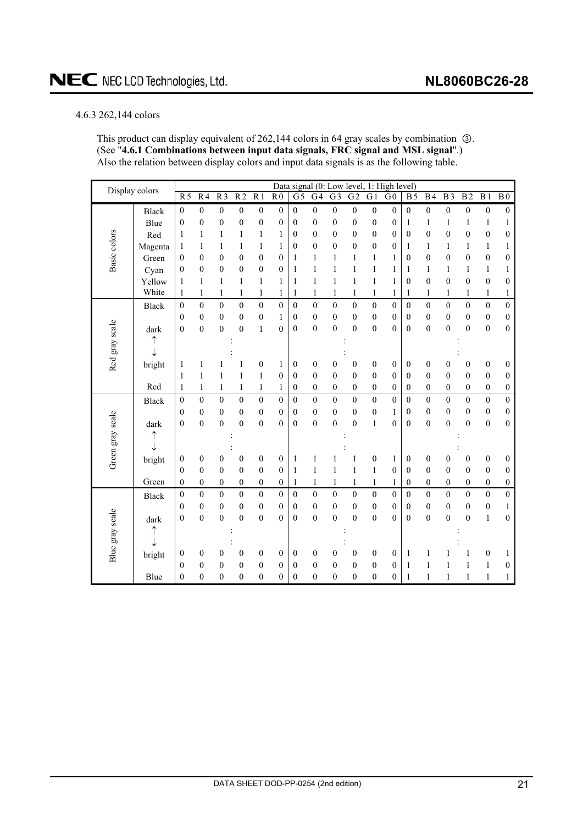### <span id="page-20-0"></span>4.6.3 262,144 colors

This product can display equivalent of  $262,144$  colors in 64 gray scales by combination  $\circledA$ . (See "**4.6.1 Combinations between input data signals, FRC signal and MSL signal**".) Also the relation between display colors and input data signals is as the following table.

| Display colors   |              |                  |                  |                  |                  |                  |                  | Data signal (0: Low level, |                  |                  |                  |                  | 1: High level)   |                  |                  |                  |                  |                  |                  |
|------------------|--------------|------------------|------------------|------------------|------------------|------------------|------------------|----------------------------|------------------|------------------|------------------|------------------|------------------|------------------|------------------|------------------|------------------|------------------|------------------|
|                  |              | $\overline{R5}$  | $R\overline{4}$  | $\overline{R}$   | $\overline{R2}$  | $\overline{R1}$  | $\overline{R}0$  | $\overline{G}$             | $\overline{G4}$  | $G\overline{3}$  | $\overline{G2}$  | $\overline{G1}$  | $\overline{G}0$  | <b>B5</b>        | B <sub>4</sub>   | $\overline{B}$   | $\overline{B2}$  | B <sub>1</sub>   | B <sub>0</sub>   |
|                  | <b>Black</b> | $\boldsymbol{0}$ | $\overline{0}$   | $\overline{0}$   | $\overline{0}$   | $\overline{0}$   | $\boldsymbol{0}$ | $\overline{0}$             | $\overline{0}$   | $\overline{0}$   | $\boldsymbol{0}$ | $\boldsymbol{0}$ | $\boldsymbol{0}$ | $\mathbf{0}$     | $\overline{0}$   | $\boldsymbol{0}$ | $\boldsymbol{0}$ | $\boldsymbol{0}$ | $\boldsymbol{0}$ |
|                  | Blue         | $\boldsymbol{0}$ | $\boldsymbol{0}$ | $\boldsymbol{0}$ | $\boldsymbol{0}$ | $\boldsymbol{0}$ | $\mathbf{0}$     | $\overline{0}$             | $\mathbf{0}$     | $\boldsymbol{0}$ | $\boldsymbol{0}$ | $\boldsymbol{0}$ | $\mathbf{0}$     | 1                | 1                | 1                | $\mathbf{1}$     | $\mathbf{1}$     | 1                |
|                  | Red          | 1                | 1                | 1                | $\mathbf{1}$     | 1                | 1                | 0                          | $\overline{0}$   | $\mathbf{0}$     | $\boldsymbol{0}$ | $\boldsymbol{0}$ | $\mathbf{0}$     | $\boldsymbol{0}$ | $\mathbf{0}$     | $\mathbf{0}$     | $\boldsymbol{0}$ | $\boldsymbol{0}$ | $\mathbf{0}$     |
|                  | Magenta      | $\mathbf{1}$     | 1                | 1                | $\mathbf{1}$     | $\mathbf{1}$     | 1                | $\boldsymbol{0}$           | $\overline{0}$   | $\overline{0}$   | $\boldsymbol{0}$ | $\boldsymbol{0}$ | $\mathbf{0}$     | 1                | 1                | 1                | $\mathbf{1}$     | $\mathbf{1}$     | 1                |
| Basic colors     | Green        | $\boldsymbol{0}$ | $\theta$         | $\mathbf{0}$     | $\boldsymbol{0}$ | $\boldsymbol{0}$ | $\mathbf{0}$     | 1                          | 1                | 1                | 1                | 1                | 1                | $\boldsymbol{0}$ | $\mathbf{0}$     | $\mathbf{0}$     | $\boldsymbol{0}$ | $\boldsymbol{0}$ | $\mathbf{0}$     |
|                  | Cyan         | $\boldsymbol{0}$ | $\boldsymbol{0}$ | $\boldsymbol{0}$ | $\boldsymbol{0}$ | $\boldsymbol{0}$ | $\mathbf{0}$     | $\mathbf{1}$               | $\mathbf{1}$     | 1                | $\,1$            | $\mathbf{1}$     | $\mathbf{1}$     | 1                | $\mathbf{1}$     | 1                | $\mathbf{1}$     | $\mathbf{1}$     | 1                |
|                  | Yellow       | $\mathbf{1}$     | $\mathbf{1}$     | 1                | $\mathbf{1}$     | $\mathbf{1}$     | $\mathbf{1}$     | 1                          | $\mathbf{1}$     | 1                | $\mathbf{1}$     | $\mathbf{1}$     | 1                | $\boldsymbol{0}$ | $\mathbf{0}$     | $\boldsymbol{0}$ | $\boldsymbol{0}$ | $\boldsymbol{0}$ | $\boldsymbol{0}$ |
|                  | White        | 1                | 1                | $\mathbf{1}$     | 1                | $\mathbf{1}$     | 1                | 1                          | $\mathbf{1}$     | 1                | $\mathbf{1}$     | 1                | 1                | 1                | 1                | 1                | 1                | $\mathbf{1}$     | 1                |
|                  | <b>Black</b> | $\boldsymbol{0}$ | $\mathbf{0}$     | $\boldsymbol{0}$ | $\boldsymbol{0}$ | $\boldsymbol{0}$ | $\boldsymbol{0}$ | $\overline{0}$             | $\boldsymbol{0}$ | $\boldsymbol{0}$ | $\boldsymbol{0}$ | $\boldsymbol{0}$ | $\boldsymbol{0}$ | $\mathbf{0}$     | $\boldsymbol{0}$ | $\boldsymbol{0}$ | $\boldsymbol{0}$ | $\boldsymbol{0}$ | $\boldsymbol{0}$ |
|                  |              | $\theta$         | $\theta$         | 0                | $\boldsymbol{0}$ | $\boldsymbol{0}$ | 1                | 0                          | $\mathbf{0}$     | $\boldsymbol{0}$ | $\boldsymbol{0}$ | $\boldsymbol{0}$ | $\mathbf{0}$     | $\mathbf{0}$     | $\mathbf{0}$     | $\boldsymbol{0}$ | $\boldsymbol{0}$ | $\boldsymbol{0}$ | $\boldsymbol{0}$ |
|                  | dark         | $\mathbf{0}$     | $\mathbf{0}$     | $\mathbf{0}$     | $\overline{0}$   | $\mathbf{1}$     | $\overline{0}$   | $\overline{0}$             | $\overline{0}$   | $\overline{0}$   | $\overline{0}$   | $\mathbf{0}$     | $\overline{0}$   | $\mathbf{0}$     | $\overline{0}$   | $\mathbf{0}$     | $\boldsymbol{0}$ | $\boldsymbol{0}$ | $\boldsymbol{0}$ |
|                  |              |                  |                  |                  |                  |                  |                  |                            |                  |                  |                  |                  |                  |                  |                  |                  |                  |                  |                  |
| Red gray scale   |              |                  |                  |                  |                  |                  |                  |                            |                  |                  |                  |                  |                  |                  |                  |                  |                  |                  |                  |
|                  | bright       | $\mathbf{1}$     | 1                |                  | 1                | $\boldsymbol{0}$ | 1                | 0                          | $\boldsymbol{0}$ | $\boldsymbol{0}$ | $\boldsymbol{0}$ | $\boldsymbol{0}$ | $\boldsymbol{0}$ | $\boldsymbol{0}$ | $\boldsymbol{0}$ | $\boldsymbol{0}$ | $\boldsymbol{0}$ | $\boldsymbol{0}$ | $\boldsymbol{0}$ |
|                  |              | 1                | 1                | 1                | 1                | $\mathbf{1}$     | $\mathbf{0}$     | 0                          | $\mathbf{0}$     | $\mathbf{0}$     | $\mathbf{0}$     | $\mathbf{0}$     | $\theta$         | $\theta$         | $\mathbf{0}$     | $\mathbf{0}$     | $\theta$         | $\mathbf{0}$     | $\boldsymbol{0}$ |
|                  | Red          | $\mathbf{1}$     | $\mathbf{1}$     | $\mathbf{1}$     | $\mathbf{1}$     | $\mathbf{1}$     | 1                | 0                          | $\mathbf{0}$     | $\boldsymbol{0}$ | $\boldsymbol{0}$ | $\boldsymbol{0}$ | $\mathbf{0}$     | $\theta$         | $\mathbf{0}$     | $\boldsymbol{0}$ | $\boldsymbol{0}$ | $\boldsymbol{0}$ | $\boldsymbol{0}$ |
|                  | <b>Black</b> | $\boldsymbol{0}$ | $\mathbf{0}$     | $\boldsymbol{0}$ | $\overline{0}$   | $\overline{0}$   | $\mathbf{0}$     | $\overline{0}$             | $\mathbf{0}$     | $\boldsymbol{0}$ | $\overline{0}$   | $\overline{0}$   | $\mathbf{0}$     | $\theta$         | $\theta$         | $\boldsymbol{0}$ | $\mathbf{0}$     | $\mathbf{0}$     | $\mathbf{0}$     |
|                  |              | $\mathbf{0}$     | $\boldsymbol{0}$ | $\boldsymbol{0}$ | $\boldsymbol{0}$ | $\boldsymbol{0}$ | $\mathbf{0}$     | 0                          | $\boldsymbol{0}$ | $\boldsymbol{0}$ | $\boldsymbol{0}$ | $\boldsymbol{0}$ | 1                | $\boldsymbol{0}$ | $\boldsymbol{0}$ | $\boldsymbol{0}$ | $\boldsymbol{0}$ | $\boldsymbol{0}$ | $\boldsymbol{0}$ |
|                  | dark         | $\mathbf{0}$     | $\boldsymbol{0}$ | $\mathbf{0}$     | $\overline{0}$   | $\boldsymbol{0}$ | $\theta$         | $\overline{0}$             | $\boldsymbol{0}$ | $\overline{0}$   | $\boldsymbol{0}$ | $\mathbf{1}$     | $\theta$         | $\mathbf{0}$     | $\boldsymbol{0}$ | $\mathbf{0}$     | $\mathbf{0}$     | $\boldsymbol{0}$ | $\boldsymbol{0}$ |
|                  | ↑            |                  |                  |                  |                  |                  |                  |                            |                  |                  |                  |                  |                  |                  |                  |                  |                  |                  |                  |
| Green gray scale |              |                  |                  |                  |                  |                  |                  |                            |                  |                  |                  |                  |                  |                  |                  |                  |                  |                  |                  |
|                  | bright       | $\boldsymbol{0}$ | $\boldsymbol{0}$ | $\boldsymbol{0}$ | $\boldsymbol{0}$ | $\boldsymbol{0}$ | $\boldsymbol{0}$ | 1                          | 1                |                  | 1                | $\boldsymbol{0}$ | 1                | $\boldsymbol{0}$ | $\boldsymbol{0}$ | $\boldsymbol{0}$ | $\boldsymbol{0}$ | $\boldsymbol{0}$ | $\boldsymbol{0}$ |
|                  |              | $\mathbf{0}$     | $\mathbf{0}$     | $\mathbf{0}$     | $\boldsymbol{0}$ | $\boldsymbol{0}$ | $\mathbf{0}$     | 1                          | 1                | 1                | 1                | $\mathbf{1}$     | $\mathbf{0}$     | $\boldsymbol{0}$ | $\mathbf{0}$     | $\mathbf{0}$     | $\mathbf{0}$     | $\mathbf{0}$     | 0                |
|                  | Green        | $\mathbf{0}$     | $\mathbf{0}$     | $\boldsymbol{0}$ | $\boldsymbol{0}$ | $\boldsymbol{0}$ | $\mathbf{0}$     | 1                          | $\mathbf{1}$     | 1                | $\mathbf{1}$     | 1                | $\mathbf{1}$     | $\boldsymbol{0}$ | $\mathbf{0}$     | $\boldsymbol{0}$ | $\boldsymbol{0}$ | $\boldsymbol{0}$ | $\boldsymbol{0}$ |
|                  | <b>Black</b> | $\boldsymbol{0}$ | $\mathbf{0}$     | $\boldsymbol{0}$ | $\overline{0}$   | $\boldsymbol{0}$ | $\overline{0}$   | $\overline{0}$             | $\mathbf{0}$     | $\boldsymbol{0}$ | $\overline{0}$   | $\boldsymbol{0}$ | $\mathbf{0}$     | $\boldsymbol{0}$ | $\mathbf{0}$     | $\mathbf{0}$     | $\mathbf{0}$     | $\mathbf 0$      | $\overline{0}$   |
|                  |              | $\mathbf{0}$     | $\mathbf{0}$     | $\boldsymbol{0}$ | $\boldsymbol{0}$ | $\boldsymbol{0}$ | $\mathbf{0}$     | 0                          | $\mathbf{0}$     | $\overline{0}$   | $\boldsymbol{0}$ | $\boldsymbol{0}$ | $\mathbf{0}$     | $\mathbf{0}$     | $\mathbf{0}$     | $\mathbf{0}$     | $\boldsymbol{0}$ | $\boldsymbol{0}$ | 1                |
|                  | dark         | $\boldsymbol{0}$ | $\mathbf{0}$     | $\boldsymbol{0}$ | $\boldsymbol{0}$ | $\boldsymbol{0}$ | $\mathbf{0}$     | $\overline{0}$             | $\boldsymbol{0}$ | $\overline{0}$   | $\boldsymbol{0}$ | $\boldsymbol{0}$ | $\theta$         | $\mathbf{0}$     | $\overline{0}$   | $\mathbf{0}$     | $\boldsymbol{0}$ | $\,1$            | $\boldsymbol{0}$ |
| Blue gray scale  | ↑            |                  |                  |                  |                  |                  |                  |                            |                  |                  |                  |                  |                  |                  |                  |                  |                  |                  |                  |
|                  | ↓            |                  |                  |                  |                  |                  |                  |                            |                  |                  |                  |                  |                  |                  |                  |                  |                  |                  |                  |
|                  | bright       | $\boldsymbol{0}$ | $\boldsymbol{0}$ | $\boldsymbol{0}$ | $\boldsymbol{0}$ | $\boldsymbol{0}$ | $\boldsymbol{0}$ | 0                          | $\boldsymbol{0}$ | 0                | $\boldsymbol{0}$ | $\boldsymbol{0}$ | $\boldsymbol{0}$ | 1                | 1                |                  | $\mathbf{1}$     | $\boldsymbol{0}$ | 1                |
|                  |              | $\theta$         | $\theta$         | $\boldsymbol{0}$ | $\boldsymbol{0}$ | 0                | $\boldsymbol{0}$ | 0                          | $\mathbf{0}$     | $\mathbf{0}$     | $\boldsymbol{0}$ | $\boldsymbol{0}$ | $\theta$         | 1                | 1                | 1                | 1                | 1                | 0                |
|                  | Blue         | $\boldsymbol{0}$ | $\overline{0}$   | $\boldsymbol{0}$ | $\boldsymbol{0}$ | $\boldsymbol{0}$ | 0                | 0                          | $\overline{0}$   | $\boldsymbol{0}$ | $\boldsymbol{0}$ | $\boldsymbol{0}$ | $\mathbf{0}$     | 1                | 1                | 1                | $\mathbf{1}$     | $\mathbf{1}$     | 1                |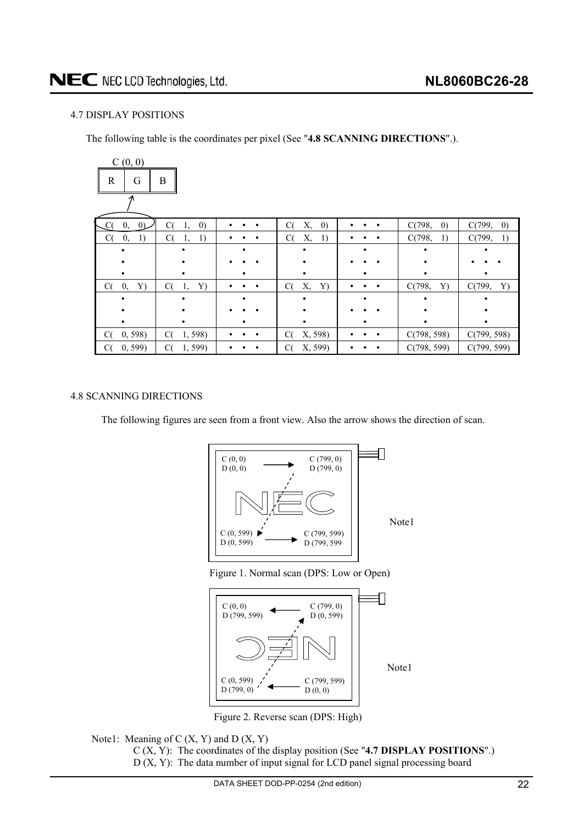# <span id="page-21-0"></span>4.7 DISPLAY POSITIONS

The following table is the coordinates per pixel (See "**4.8 SCANNING DIRECTIONS**".).

| C(0, 0)                    |                               |           |                               |                |                             |                             |  |  |  |  |  |  |
|----------------------------|-------------------------------|-----------|-------------------------------|----------------|-----------------------------|-----------------------------|--|--|--|--|--|--|
| B<br>$\mathbb{R}$<br>G     |                               |           |                               |                |                             |                             |  |  |  |  |  |  |
|                            |                               |           |                               |                |                             |                             |  |  |  |  |  |  |
| 0 <sub>l</sub><br>C(<br>0, | C(<br>$\left( 0\right)$<br>1, | ٠         | Х,<br>$\left( 0\right)$<br>C( | $\bullet$      | C(798,<br>$\left( 0\right)$ | C(799,<br>$\left( 0\right)$ |  |  |  |  |  |  |
| C(<br>1)<br>$\mathbf{0},$  | C(<br>1)<br>1,                | $\bullet$ | C(<br>Х,<br>1)                | ٠<br>٠         | C(798,<br>1)                | C(799,<br>1)                |  |  |  |  |  |  |
|                            |                               |           |                               |                |                             |                             |  |  |  |  |  |  |
|                            |                               |           |                               |                |                             |                             |  |  |  |  |  |  |
|                            |                               |           |                               |                |                             |                             |  |  |  |  |  |  |
| C(<br>0,<br>Y)             | C(<br>Y)<br>1,                | $\bullet$ | C(<br>Х,<br>Y)                | $\bullet$<br>٠ | C(798,<br>Y)                | C(799,<br>Y)                |  |  |  |  |  |  |
|                            |                               |           |                               |                |                             |                             |  |  |  |  |  |  |
|                            |                               |           |                               |                |                             |                             |  |  |  |  |  |  |
|                            |                               |           |                               |                |                             |                             |  |  |  |  |  |  |
| 0, 598<br>C(               | C(<br>1,598)                  | ٠         | X, 598)<br>C(                 | $\bullet$      | C(798, 598)                 | C(799, 598)                 |  |  |  |  |  |  |
| 0, 599<br>C(               | 1,599)<br>C(                  |           | X, 599)<br>C(                 |                | C(798, 599)                 | C(799, 599)                 |  |  |  |  |  |  |

# 4.8 SCANNING DIRECTIONS

The following figures are seen from a front view. Also the arrow shows the direction of scan.







Figure 2. Reverse scan (DPS: High)

Note1: Meaning of  $C(X, Y)$  and  $D(X, Y)$ C (X, Y): The coordinates of the display position (See "**4.7 DISPLAY POSITIONS**".) D (X, Y): The data number of input signal for LCD panel signal processing board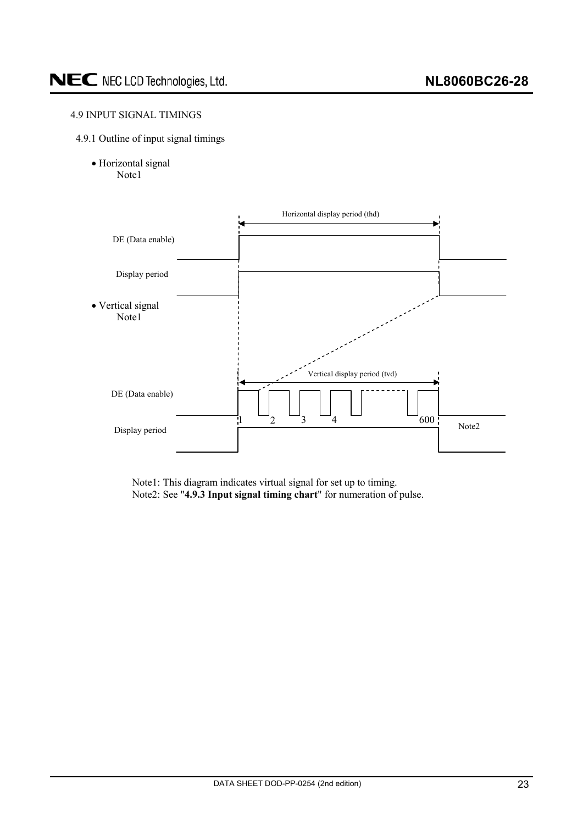# <span id="page-22-0"></span>4.9 INPUT SIGNAL TIMINGS

- 4.9.1 Outline of input signal timings
	- · Horizontal signal Note1



Note1: This diagram indicates virtual signal for set up to timing. Note2: See "**4.9.3 Input signal timing chart**" for numeration of pulse.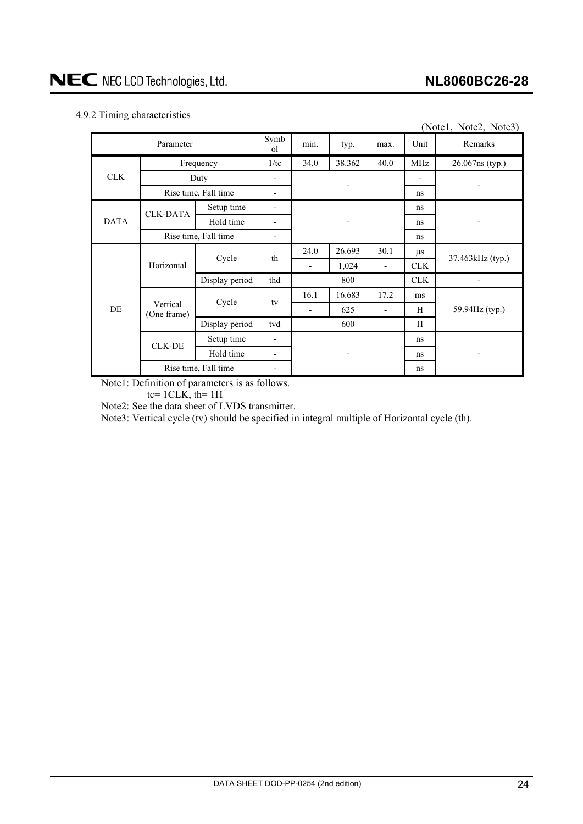# <span id="page-23-0"></span>4.9.2 Timing characteristics

|             | ັ<br>(Notel, Note2, Note3) |                      |                        |                          |        |                          |            |                          |  |  |  |  |
|-------------|----------------------------|----------------------|------------------------|--------------------------|--------|--------------------------|------------|--------------------------|--|--|--|--|
|             | Parameter                  |                      | Symb<br><sub>o</sub> l | min.                     | typ.   | max.                     | Unit       | Remarks                  |  |  |  |  |
|             |                            | Frequency            | 1/tc                   | 34.0                     | 38.362 | 40.0                     | <b>MHz</b> | 26.067ns (typ.)          |  |  |  |  |
| <b>CLK</b>  | Duty                       |                      |                        |                          |        |                          |            |                          |  |  |  |  |
|             | Rise time, Fall time       |                      |                        |                          |        | ns                       |            |                          |  |  |  |  |
|             | <b>CLK-DATA</b>            | Setup time           |                        |                          |        |                          | ns         |                          |  |  |  |  |
| <b>DATA</b> |                            | Hold time            |                        |                          |        |                          | ns         |                          |  |  |  |  |
|             | Rise time, Fall time       |                      |                        |                          |        | ns                       |            |                          |  |  |  |  |
|             |                            | Cycle                | th                     | 24.0                     | 26.693 | 30.1                     | $\mu$ s    | 37.463kHz (typ.)         |  |  |  |  |
|             | Horizontal                 |                      |                        | $\overline{\phantom{a}}$ | 1,024  | $\overline{\phantom{0}}$ | <b>CLK</b> |                          |  |  |  |  |
|             |                            | Display period       | thd                    | 800                      |        |                          | <b>CLK</b> | $\overline{\phantom{0}}$ |  |  |  |  |
|             |                            | Cycle                | tv                     | 16.1                     | 16.683 | 17.2                     | ms         |                          |  |  |  |  |
| DE          | Vertical<br>(One frame)    |                      |                        | $\overline{\phantom{a}}$ | 625    | $\overline{a}$           | H          | 59.94Hz (typ.)           |  |  |  |  |
|             |                            | Display period       | tvd                    |                          | 600    |                          | H          |                          |  |  |  |  |
|             | <b>CLK-DE</b>              | Setup time           | -                      |                          |        |                          | ns         |                          |  |  |  |  |
|             |                            | Hold time            |                        |                          |        |                          | ns         |                          |  |  |  |  |
|             |                            | Rise time, Fall time |                        |                          |        |                          | ns         |                          |  |  |  |  |

Note1: Definition of parameters is as follows.

tc=  $1CLK$ , th=  $1H$ 

Note2: See the data sheet of LVDS transmitter.

Note3: Vertical cycle (tv) should be specified in integral multiple of Horizontal cycle (th).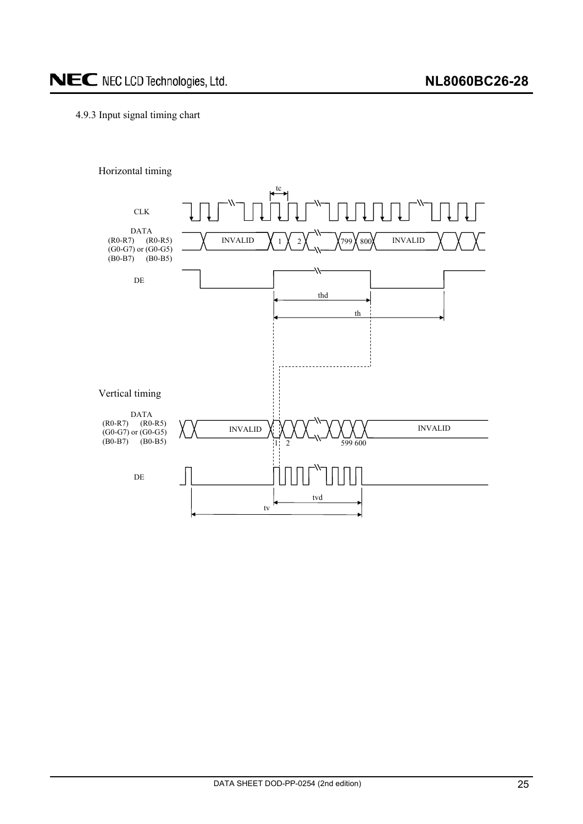# <span id="page-24-0"></span>4.9.3 Input signal timing chart



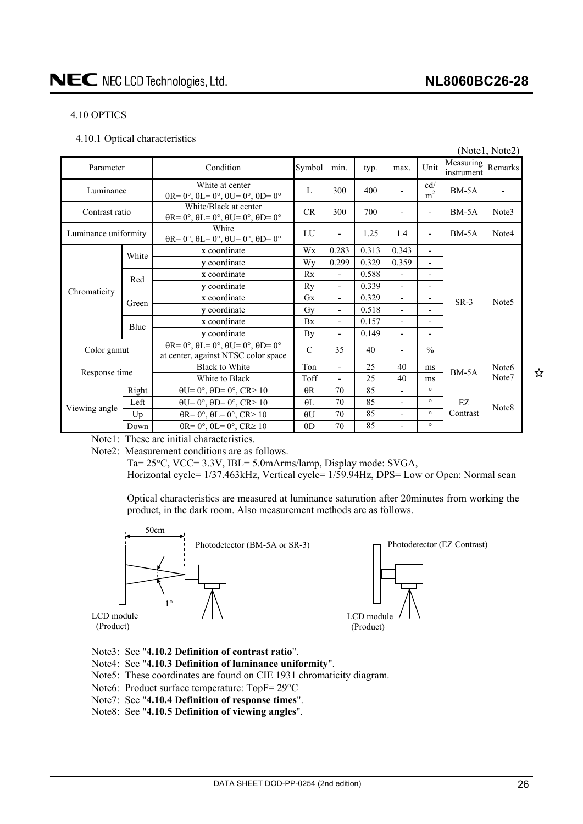## <span id="page-25-0"></span>4.10 OPTICS

4.10.1 Optical characteristics

|                      |       |                                                                                                       |               |                          |       |                          |                                                    |                         | (Notel, Note2)    |  |
|----------------------|-------|-------------------------------------------------------------------------------------------------------|---------------|--------------------------|-------|--------------------------|----------------------------------------------------|-------------------------|-------------------|--|
| Parameter            |       | Condition                                                                                             | Symbol        | min.                     | typ.  | max.                     | Unit                                               | Measuring<br>instrument | Remarks           |  |
| Luminance            |       | White at center<br>$\theta$ R= 0°, $\theta$ L= 0°, $\theta$ U= 0°, $\theta$ D= 0°                     | L             | 300                      | 400   |                          | $\ensuremath{\text{cd}}\xspace/$<br>m <sup>2</sup> | $BM-5A$                 |                   |  |
| Contrast ratio       |       | White/Black at center<br>$\theta$ R= 0°, $\theta$ L= 0°, $\theta$ U= 0°, $\theta$ D= 0°               | <b>CR</b>     | 300                      | 700   |                          | $\qquad \qquad \blacksquare$                       | $BM-5A$                 | Note3             |  |
| Luminance uniformity |       | White<br>$\theta$ R= 0°, $\theta$ L= 0°, $\theta$ U= 0°, $\theta$ D= 0°                               | LU            |                          | 1.25  | 1.4                      | $\overline{\phantom{0}}$                           | $BM-5A$                 | Note4             |  |
|                      | White | x coordinate                                                                                          | Wx            | 0.283                    | 0.313 | 0.343                    | $\overline{\phantom{0}}$                           |                         |                   |  |
|                      |       | y coordinate                                                                                          | Wy            | 0.299                    | 0.329 | 0.359                    | $\overline{\phantom{0}}$                           |                         | Note <sub>5</sub> |  |
|                      | Red   | x coordinate                                                                                          | Rx            | $\overline{\phantom{0}}$ | 0.588 | $\overline{\phantom{0}}$ |                                                    |                         |                   |  |
| Chromaticity         |       | y coordinate                                                                                          | Ry            | $\overline{\phantom{0}}$ | 0.339 | $\overline{\phantom{0}}$ | $\qquad \qquad \blacksquare$                       |                         |                   |  |
|                      | Green | x coordinate                                                                                          | $G_{X}$       | $\overline{\phantom{0}}$ | 0.329 | $\overline{a}$           |                                                    | $SR-3$                  |                   |  |
|                      |       | y coordinate                                                                                          | Gy            | $\overline{\phantom{a}}$ | 0.518 |                          |                                                    |                         |                   |  |
|                      | Blue  | x coordinate                                                                                          | Bx            |                          | 0.157 |                          |                                                    |                         |                   |  |
|                      |       | y coordinate                                                                                          | By            |                          | 0.149 |                          |                                                    |                         |                   |  |
| Color gamut          |       | $\theta$ R= 0°, $\theta$ L= 0°, $\theta$ U= 0°, $\theta$ D= 0°<br>at center, against NTSC color space | $\mathcal{C}$ | 35                       | 40    |                          | $\frac{0}{0}$                                      |                         |                   |  |
|                      |       | <b>Black to White</b>                                                                                 | Ton           | $\overline{a}$           | 25    | 40                       | ms                                                 | $BM-5A$                 | Note <sub>6</sub> |  |
| Response time        |       | White to Black                                                                                        | Toff          | $\overline{a}$           | 25    | 40                       | ms                                                 |                         | Note7             |  |
|                      | Right | $\theta U = 0^\circ$ , $\theta D = 0^\circ$ , $CR \ge 10$                                             | $\theta$ R    | 70                       | 85    |                          | $\circ$                                            |                         |                   |  |
|                      | Left  | $\theta U = 0^\circ$ , $\theta D = 0^\circ$ , $CR \ge 10$                                             | $\theta$ L    | 70                       | 85    | $\overline{\phantom{a}}$ | $\circ$                                            | EZ                      |                   |  |
| Viewing angle        | Up    | $\theta$ R= 0°, $\theta$ L= 0°, CR≥ 10                                                                | $\theta$ U    | 70                       | 85    | $\overline{\phantom{0}}$ | $\circ$                                            | Contrast                | Note8             |  |
|                      | Down  | $\theta$ R= 0°, $\theta$ L= 0°, CR≥ 10                                                                | $\theta$ D    | 70                       | 85    | $\overline{\phantom{a}}$ | $\circ$                                            |                         |                   |  |

Note1: These are initial characteristics.

Note2: Measurement conditions are as follows.

Ta=  $25^{\circ}$ C, VCC=  $3.3V$ , IBL=  $5.0$ mArms/lamp, Display mode: SVGA, Horizontal cycle= 1/37.463kHz, Vertical cycle= 1/59.94Hz, DPS= Low or Open: Normal scan

Optical characteristics are measured at luminance saturation after 20minutes from working the product, in the dark room. Also measurement methods are as follows.



LCD module (Product)

- Note3: See "**4.10.2 Definition of contrast ratio**".
- Note4: See "**4.10.3 Definition of luminance uniformity**".
- Note5: These coordinates are found on CIE 1931 chromaticity diagram.
- Note6: Product surface temperature:  $TopF = 29^{\circ}C$
- Note7: See "**4.10.4 Definition of response times**".
- Note8: See "**4.10.5 Definition of viewing angles**".
- 
- LCD module (Product)

☆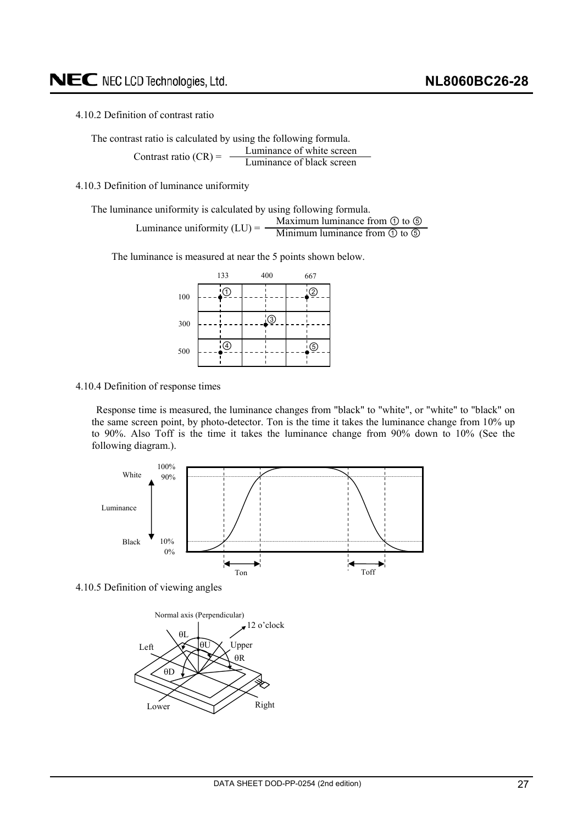<span id="page-26-0"></span>4.10.2 Definition of contrast ratio

The contrast ratio is calculated by using the following formula. Luminance of white screen Luminance of black screen Contrast ratio  $(CR) = -$ 

4.10.3 Definition of luminance uniformity

The luminance uniformity is calculated by using following formula. Maximum luminance from  $\odot$  to  $\odot$ Minimum luminance from  $\overline{(\theta)}$  to  $\overline{(\theta)}$ Luminance uniformity  $(LU) = -$ 

The luminance is measured at near the 5 points shown below.



#### 4.10.4 Definition of response times

Response time is measured, the luminance changes from "black" to "white", or "white" to "black" on the same screen point, by photo-detector. Ton is the time it takes the luminance change from 10% up to 90%. Also Toff is the time it takes the luminance change from 90% down to 10% (See the following diagram.).



4.10.5 Definition of viewing angles

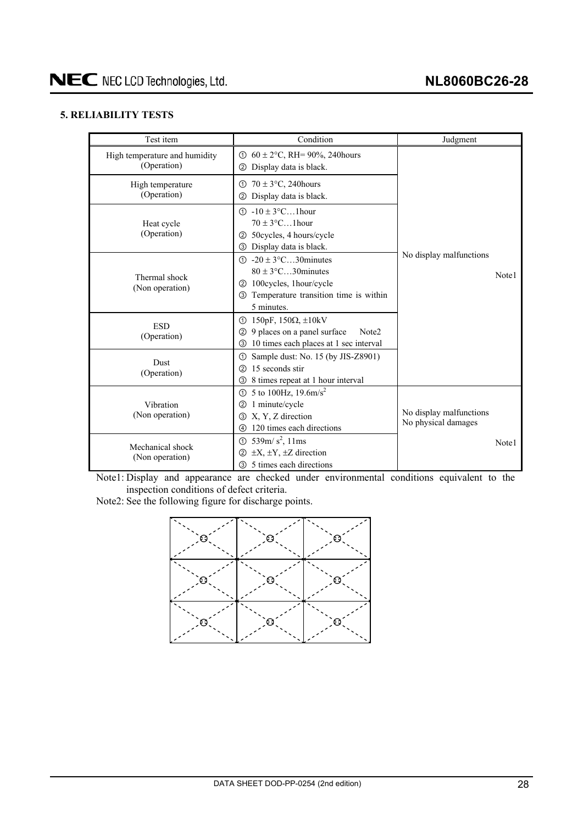# <span id="page-27-0"></span>**5. RELIABILITY TESTS**

| Test item                                    | Condition                                                                                                                                                                   | Judgment                                       |       |  |  |
|----------------------------------------------|-----------------------------------------------------------------------------------------------------------------------------------------------------------------------------|------------------------------------------------|-------|--|--|
| High temperature and humidity<br>(Operation) | ① $60 \pm 2$ °C, RH= 90%, 240 hours<br>Display data is black.<br>(2)                                                                                                        |                                                |       |  |  |
| High temperature<br>(Operation)              | $70 \pm 3$ °C, 240 hours<br>➀<br>Display data is black.<br>②                                                                                                                |                                                |       |  |  |
| Heat cycle<br>(Operation)                    | $\textcircled{1}$ -10 ± 3°C1hour<br>$70 \pm 3$ °C1 hour<br>50 cycles, 4 hours/cycle<br>(2)<br>3 Display data is black.                                                      |                                                |       |  |  |
| Thermal shock<br>(Non operation)             | $\textcircled{1}$ -20 ± 3°C30 minutes<br>$80 \pm 3$ °C30 minutes<br>100 cycles, 1 hour/cycle<br>(2)<br>Temperature transition time is within<br>$\circled{3}$<br>5 minutes. | No display malfunctions                        | Note1 |  |  |
| <b>ESD</b><br>(Operation)                    | $\textcircled{1}$ 150pF, 150 $\Omega$ , $\pm$ 10kV<br>9 places on a panel surface<br>Note <sub>2</sub><br>(2)<br>10 times each places at 1 sec interval<br>③                |                                                |       |  |  |
| <b>Dust</b><br>(Operation)                   | Sample dust: No. 15 (by JIS-Z8901)<br>ന<br>15 seconds stir<br>$\circled{2}$<br>8 times repeat at 1 hour interval<br>3                                                       |                                                |       |  |  |
| Vibration<br>(Non operation)                 | ① 5 to 100Hz, $19.6 \text{m/s}^2$<br>1 minute/cycle<br>②<br>X, Y, Z direction<br>3<br>120 times each directions<br>4                                                        | No display malfunctions<br>No physical damages |       |  |  |
| Mechanical shock<br>(Non operation)          | 539m/ $s^2$ , 11ms<br>$\odot$<br>$\pm X, \pm Y, \pm Z$ direction<br>(2)<br>5 times each directions<br>③                                                                     |                                                | Note1 |  |  |

Note1: Display and appearance are checked under environmental conditions equivalent to the inspection conditions of defect criteria.

Note2: See the following figure for discharge points.

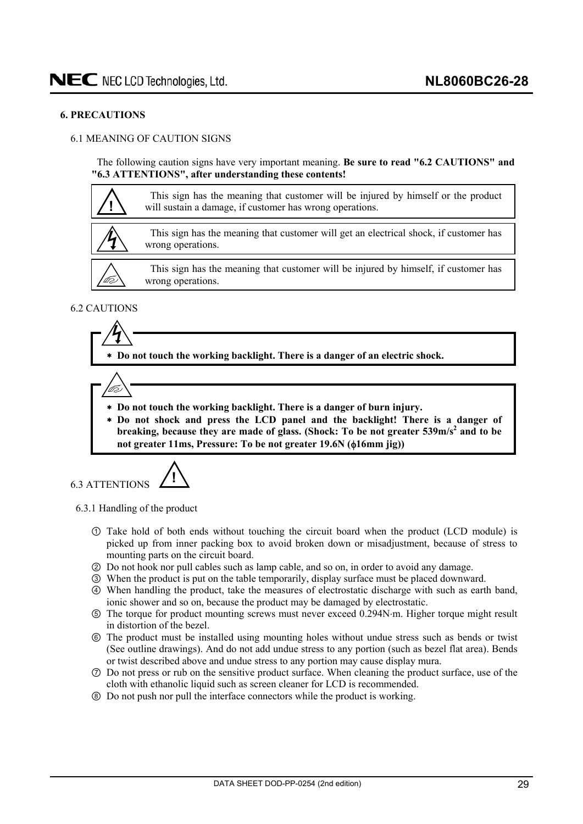#### <span id="page-28-0"></span>**6. PRECAUTIONS**

# 6.1 MEANING OF CAUTION SIGNS

The following caution signs have very important meaning. **Be sure to read "6.2 CAUTIONS" and "6.3 ATTENTIONS", after understanding these contents!** 



# 6.2 CAUTIONS

 **Do not touch the working backlight. There is a danger of an electric shock.** 



- **Do not touch the working backlight. There is a danger of burn injury.**
- **Do not shock and press the LCD panel and the backlight! There is a danger of**  breaking, because they are made of glass. (Shock: To be not greater 539m/s<sup>2</sup> and to be not greater 11ms, Pressure: To be not greater 19.6N ( $\phi$ 16mm jig))

6.3 ATTENTIONS **!**

6.3.1 Handling of the product

- Take hold of both ends without touching the circuit board when the product (LCD module) is picked up from inner packing box to avoid broken down or misadjustment, because of stress to mounting parts on the circuit board.
- ཱ Do not hook nor pull cables such as lamp cable, and so on, in order to avoid any damage.
- ི When the product is put on the table temporarily, display surface must be placed downward.
- ཱི When handling the product, take the measures of electrostatic discharge with such as earth band, ionic shower and so on, because the product may be damaged by electrostatic.
- ུ The torque for product mounting screws must never exceed 0.294Nm. Higher torque might result in distortion of the bezel.
- ཱུ The product must be installed using mounting holes without undue stress such as bends or twist (See outline drawings). And do not add undue stress to any portion (such as bezel flat area). Bends or twist described above and undue stress to any portion may cause display mura.
- ྲྀ Do not press or rub on the sensitive product surface. When cleaning the product surface, use of the cloth with ethanolic liquid such as screen cleaner for LCD is recommended.
- ཷ Do not push nor pull the interface connectors while the product is working.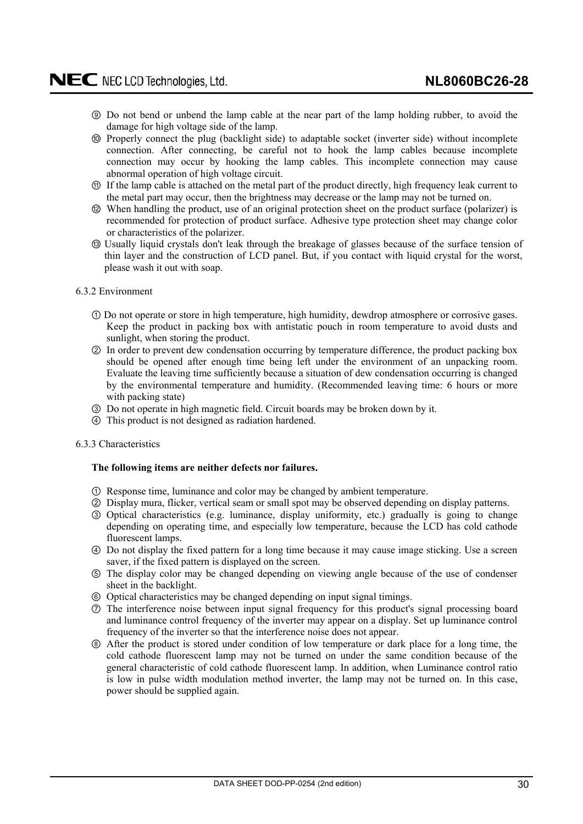- <span id="page-29-0"></span>ླྀ Do not bend or unbend the lamp cable at the near part of the lamp holding rubber, to avoid the damage for high voltage side of the lamp.
- ཹ Properly connect the plug (backlight side) to adaptable socket (inverter side) without incomplete connection. After connecting, be careful not to hook the lamp cables because incomplete connection may occur by hooking the lamp cables. This incomplete connection may cause abnormal operation of high voltage circuit.
- ེ If the lamp cable is attached on the metal part of the product directly, high frequency leak current to the metal part may occur, then the brightness may decrease or the lamp may not be turned on.
- ཻ When handling the product, use of an original protection sheet on the product surface (polarizer) is recommended for protection of product surface. Adhesive type protection sheet may change color or characteristics of the polarizer.
- ོUsually liquid crystals don't leak through the breakage of glasses because of the surface tension of thin layer and the construction of LCD panel. But, if you contact with liquid crystal for the worst, please wash it out with soap.

#### 6.3.2 Environment

- Do not operate or store in high temperature, high humidity, dewdrop atmosphere or corrosive gases. Keep the product in packing box with antistatic pouch in room temperature to avoid dusts and sunlight, when storing the product.
- ཱ In order to prevent dew condensation occurring by temperature difference, the product packing box should be opened after enough time being left under the environment of an unpacking room. Evaluate the leaving time sufficiently because a situation of dew condensation occurring is changed by the environmental temperature and humidity. (Recommended leaving time: 6 hours or more with packing state)
- ི Do not operate in high magnetic field. Circuit boards may be broken down by it.
- ཱི This product is not designed as radiation hardened.

## 6.3.3 Characteristics

## **The following items are neither defects nor failures.**

- Response time, luminance and color may be changed by ambient temperature.
- ཱ Display mura, flicker, vertical seam or small spot may be observed depending on display patterns.
- ི Optical characteristics (e.g. luminance, display uniformity, etc.) gradually is going to change depending on operating time, and especially low temperature, because the LCD has cold cathode fluorescent lamps.
- ཱི Do not display the fixed pattern for a long time because it may cause image sticking. Use a screen saver, if the fixed pattern is displayed on the screen.
- ུ The display color may be changed depending on viewing angle because of the use of condenser sheet in the backlight.
- ཱུ Optical characteristics may be changed depending on input signal timings.
- ྲྀ The interference noise between input signal frequency for this product's signal processing board and luminance control frequency of the inverter may appear on a display. Set up luminance control frequency of the inverter so that the interference noise does not appear.
- ཷ After the product is stored under condition of low temperature or dark place for a long time, the cold cathode fluorescent lamp may not be turned on under the same condition because of the general characteristic of cold cathode fluorescent lamp. In addition, when Luminance control ratio is low in pulse width modulation method inverter, the lamp may not be turned on. In this case, power should be supplied again.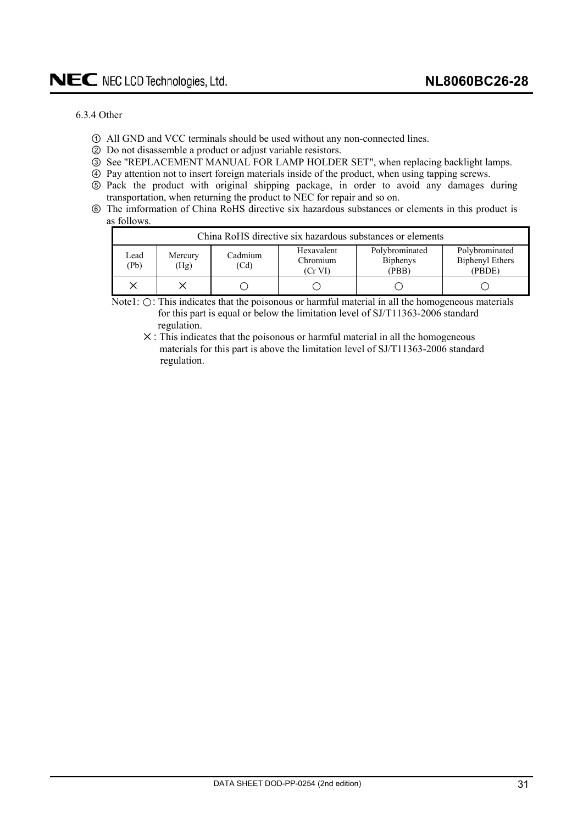#### <span id="page-30-0"></span>6.3.4 Other

- All GND and VCC terminals should be used without any non-connected lines.
- ཱ Do not disassemble a product or adjust variable resistors.
- ི See "REPLACEMENT MANUAL FOR LAMP HOLDER SET", when replacing backlight lamps.
- ཱི Pay attention not to insert foreign materials inside of the product, when using tapping screws.
- ུ Pack the product with original shipping package, in order to avoid any damages during transportation, when returning the product to NEC for repair and so on.
- ཱུ The imformation of China RoHS directive six hazardous substances or elements in this product is as follows.

|              | China RoHS directive six hazardous substances or elements |                 |                                   |                                            |                                                    |  |  |  |  |  |  |  |
|--------------|-----------------------------------------------------------|-----------------|-----------------------------------|--------------------------------------------|----------------------------------------------------|--|--|--|--|--|--|--|
| Lead<br>(Pb) | Mercury<br>(Hg)                                           | Cadmium<br>(Cd) | Hexavalent<br>Chromium<br>(Cr VI) | Polybrominated<br><b>Biphenys</b><br>(PBB) | Polybrominated<br><b>Biphenyl Ethers</b><br>(PBDE) |  |  |  |  |  |  |  |
|              |                                                           |                 |                                   |                                            |                                                    |  |  |  |  |  |  |  |

Note1:  $\bigcirc$ : This indicates that the poisonous or harmful material in all the homogeneous materials for this part is equal or below the limitation level of SJ/T11363-2006 standard regulation.

 $X$ : This indicates that the poisonous or harmful material in all the homogeneous materials for this part is above the limitation level of SJ/T11363-2006 standard regulation.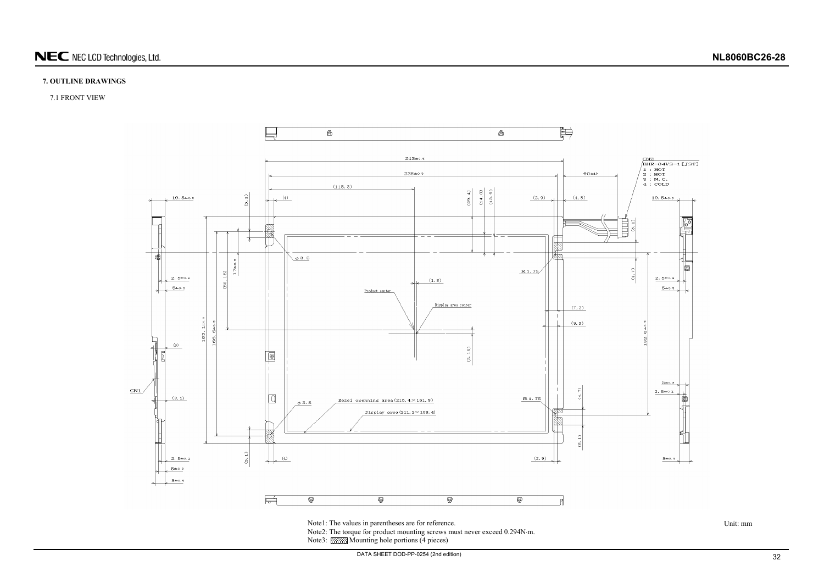# **7. OUTLINE DRAWINGS**

# 7.1 FRONT VIEW



<span id="page-31-0"></span>Note3: **XXXXX** Mounting hole portions (4 pieces)